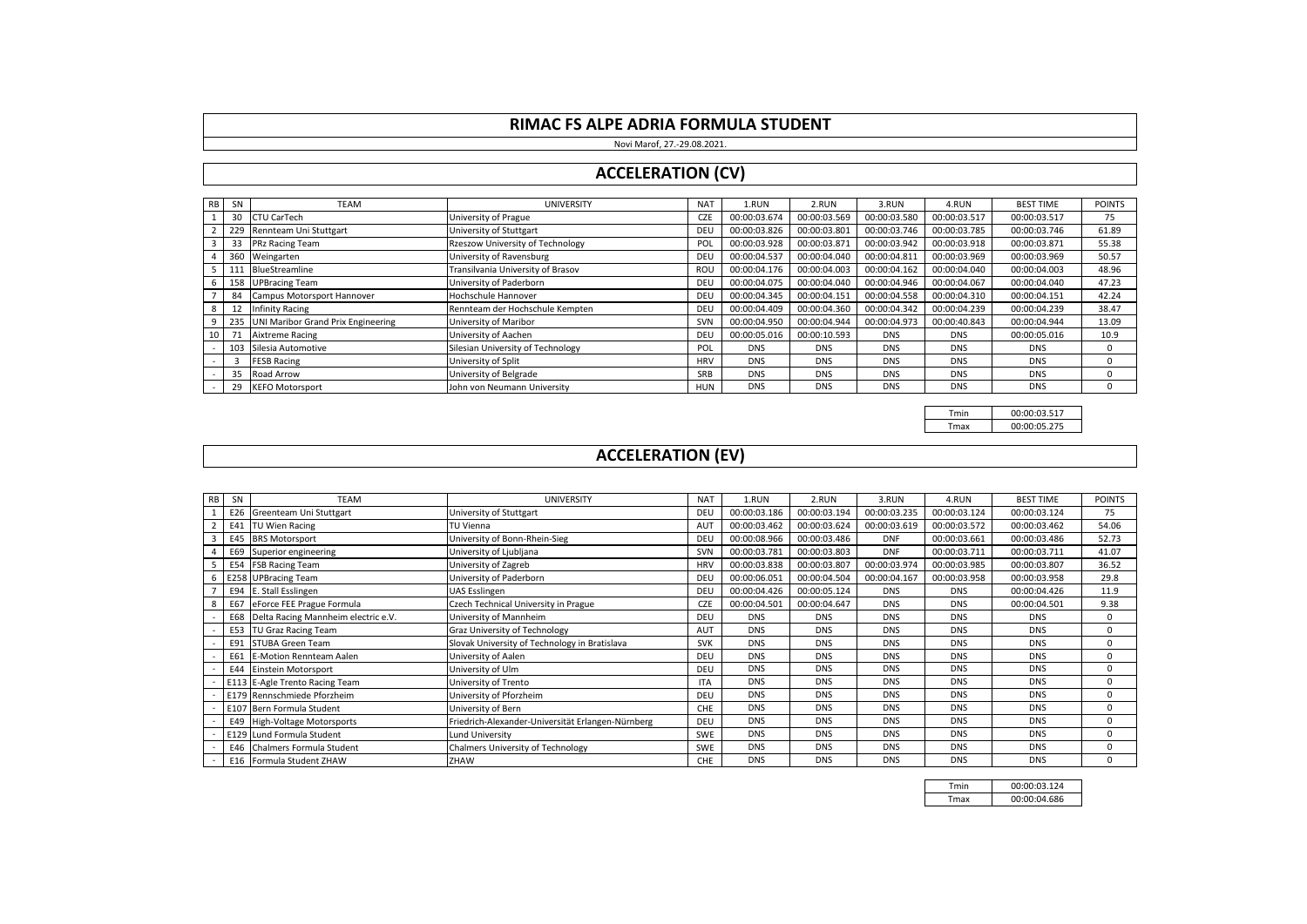Novi Marof, 27.-29.08.2021.

### **ACCELERATION (CV)**

| R <sub>B</sub>  | <b>SN</b> | <b>TEAM</b>                            | <b>UNIVERSITY</b>                 | <b>NAT</b> | 1.RUN        | 2.RUN        | 3.RUN        | 4.RUN        | <b>BEST TIME</b> | <b>POINTS</b> |
|-----------------|-----------|----------------------------------------|-----------------------------------|------------|--------------|--------------|--------------|--------------|------------------|---------------|
|                 |           | 30 CTU CarTech                         | University of Prague              | CZE        | 00:00:03.674 | 00:00:03.569 | 00:00:03.580 | 00:00:03.517 | 00:00:03.517     | 75            |
|                 |           | 229 Rennteam Uni Stuttgart             | University of Stuttgart           | DEU        | 00:00:03.826 | 00:00:03.801 | 00:00:03.746 | 00:00:03.785 | 00:00:03.746     | 61.89         |
|                 |           | 33 PRz Racing Team                     | Rzeszow University of Technology  | POL        | 00:00:03.928 | 00:00:03.871 | 00:00:03.942 | 00:00:03.918 | 00:00:03.871     | 55.38         |
|                 |           | 360 Weingarten                         | University of Ravensburg          | DEU        | 00:00:04.537 | 00:00:04.040 | 00:00:04.811 | 00:00:03.969 | 00:00:03.969     | 50.57         |
|                 |           | 111 BlueStreamline                     | Transilvania University of Brasov | ROU        | 00:00:04.176 | 00:00:04.003 | 00:00:04.162 | 00:00:04.040 | 00:00:04.003     | 48.96         |
| 6               |           | 158 UPBracing Team                     | University of Paderborn           | DEU        | 00:00:04.075 | 00:00:04.040 | 00:00:04.946 | 00:00:04.067 | 00:00:04.040     | 47.23         |
|                 |           | 84 Campus Motorsport Hannover          | Hochschule Hannover               | DEU        | 00:00:04.345 | 00:00:04.151 | 00:00:04.558 | 00:00:04.310 | 00:00:04.151     | 42.24         |
| 8               |           | 12 Infinity Racing                     | Rennteam der Hochschule Kempten   | DEU        | 00:00:04.409 | 00:00:04.360 | 00:00:04.342 | 00:00:04.239 | 00:00:04.239     | 38.47         |
|                 |           | 235 UNI Maribor Grand Prix Engineering | University of Maribor             | SVN        | 00:00:04.950 | 00:00:04.944 | 00:00:04.973 | 00:00:40.843 | 00:00:04.944     | 13.09         |
| 10 <sup>1</sup> |           | 71 Aixtreme Racing                     | University of Aachen              | DEU        | 00:00:05.016 | 00:00:10.593 | <b>DNS</b>   | <b>DNS</b>   | 00:00:05.016     | 10.9          |
|                 |           | 103 Silesia Automotive                 | Silesian University of Technology | POL        | <b>DNS</b>   | <b>DNS</b>   | <b>DNS</b>   | <b>DNS</b>   | <b>DNS</b>       | $\Omega$      |
|                 |           | <b>FESB Racing</b>                     | University of Split               | <b>HRV</b> | <b>DNS</b>   | <b>DNS</b>   | <b>DNS</b>   | <b>DNS</b>   | <b>DNS</b>       | $\Omega$      |
|                 |           | 35 Road Arrow                          | University of Belgrade            | SRB        | <b>DNS</b>   | <b>DNS</b>   | <b>DNS</b>   | <b>DNS</b>   | <b>DNS</b>       | $\Omega$      |
|                 |           | 29 KEFO Motorsport                     | John von Neumann University       | HUN        | <b>DNS</b>   | <b>DNS</b>   | <b>DNS</b>   | <b>DNS</b>   | <b>DNS</b>       |               |

Tmin 00:00:03.517<br>Tmax 00:00:05.275 00:00:05.275

# **ACCELERATION (EV)**

| <b>RB</b> | SN  | <b>TEAM</b>                             | UNIVERSITY                                        | <b>NAT</b> | 1.RUN        | 2.RUN        | 3.RUN        | 4.RUN        | <b>BEST TIME</b> | <b>POINTS</b> |
|-----------|-----|-----------------------------------------|---------------------------------------------------|------------|--------------|--------------|--------------|--------------|------------------|---------------|
|           |     | E26 Greenteam Uni Stuttgart             | University of Stuttgart                           | DEU        | 00:00:03.186 | 00:00:03.194 | 00:00:03.235 | 00:00:03.124 | 00:00:03.124     | 75            |
|           |     | E41 TU Wien Racing                      | TU Vienna                                         | AUT        | 00:00:03.462 | 00:00:03.624 | 00:00:03.619 | 00:00:03.572 | 00:00:03.462     | 54.06         |
|           |     | E45 BRS Motorsport                      | University of Bonn-Rhein-Sieg                     | DEU        | 00:00:08.966 | 00:00:03.486 | <b>DNF</b>   | 00:00:03.661 | 00:00:03.486     | 52.73         |
|           |     | E69 Superior engineering                | University of Ljubljana                           | SVN        | 00:00:03.781 | 00:00:03.803 | <b>DNF</b>   | 00:00:03.711 | 00:00:03.711     | 41.07         |
| 5         |     | E54 FSB Racing Team                     | University of Zagreb                              | <b>HRV</b> | 00:00:03.838 | 00:00:03.807 | 00:00:03.974 | 00:00:03.985 | 00:00:03.807     | 36.52         |
|           |     | 6 E258 UPBracing Team                   | University of Paderborn                           | DEU        | 00:00:06.051 | 00:00:04.504 | 00:00:04.167 | 00:00:03.958 | 00:00:03.958     | 29.8          |
|           |     | E94 E. Stall Esslingen                  | <b>UAS Esslingen</b>                              | DEU        | 00:00:04.426 | 00:00:05.124 | <b>DNS</b>   | <b>DNS</b>   | 00:00:04.426     | 11.9          |
| 8         |     | E67 eForce FEE Prague Formula           | Czech Technical University in Prague              | <b>CZE</b> | 00:00:04.501 | 00:00:04.647 | <b>DNS</b>   | <b>DNS</b>   | 00:00:04.501     | 9.38          |
|           |     | E68 Delta Racing Mannheim electric e.V. | University of Mannheim                            | DEU        | <b>DNS</b>   | <b>DNS</b>   | <b>DNS</b>   | <b>DNS</b>   | <b>DNS</b>       | $^{\circ}$    |
|           |     | E53 TU Graz Racing Team                 | Graz University of Technology                     | AUT        | <b>DNS</b>   | <b>DNS</b>   | <b>DNS</b>   | <b>DNS</b>   | <b>DNS</b>       | 0             |
|           |     | E91 STUBA Green Team                    | Slovak University of Technology in Bratislava     | <b>SVK</b> | <b>DNS</b>   | <b>DNS</b>   | <b>DNS</b>   | <b>DNS</b>   | <b>DNS</b>       | $\Omega$      |
|           | E61 | E-Motion Rennteam Aalen                 | University of Aalen                               | DEU        | <b>DNS</b>   | <b>DNS</b>   | <b>DNS</b>   | <b>DNS</b>   | <b>DNS</b>       | $\Omega$      |
|           |     | <b>E44 Einstein Motorsport</b>          | University of Ulm                                 | DEU        | <b>DNS</b>   | <b>DNS</b>   | <b>DNS</b>   | <b>DNS</b>   | <b>DNS</b>       | $\Omega$      |
|           |     | E113 E-Agle Trento Racing Team          | University of Trento                              | <b>ITA</b> | <b>DNS</b>   | <b>DNS</b>   | <b>DNS</b>   | <b>DNS</b>   | <b>DNS</b>       | $\Omega$      |
|           |     | E179 Rennschmiede Pforzheim             | University of Pforzheim                           | DEU        | <b>DNS</b>   | <b>DNS</b>   | <b>DNS</b>   | <b>DNS</b>   | <b>DNS</b>       | $\Omega$      |
|           |     | E107 Bern Formula Student               | University of Bern                                | CHE        | <b>DNS</b>   | <b>DNS</b>   | <b>DNS</b>   | <b>DNS</b>   | <b>DNS</b>       | $\Omega$      |
|           |     | E49 High-Voltage Motorsports            | Friedrich-Alexander-Universität Erlangen-Nürnberg | DEU        | <b>DNS</b>   | <b>DNS</b>   | <b>DNS</b>   | <b>DNS</b>   | <b>DNS</b>       | 0             |
|           |     | E129 Lund Formula Student               | Lund University                                   | SWE        | <b>DNS</b>   | <b>DNS</b>   | <b>DNS</b>   | <b>DNS</b>   | <b>DNS</b>       | $\Omega$      |
|           |     | E46 Chalmers Formula Student            | Chalmers University of Technology                 | SWE        | <b>DNS</b>   | <b>DNS</b>   | <b>DNS</b>   | <b>DNS</b>   | <b>DNS</b>       | $\Omega$      |
|           |     | E16 Formula Student ZHAW                | ZHAW                                              | CHE        | <b>DNS</b>   | <b>DNS</b>   | <b>DNS</b>   | <b>DNS</b>   | <b>DNS</b>       | $\Omega$      |

| Tmin | 00:00:03.124 |
|------|--------------|
| Tmax | 00:00:04.686 |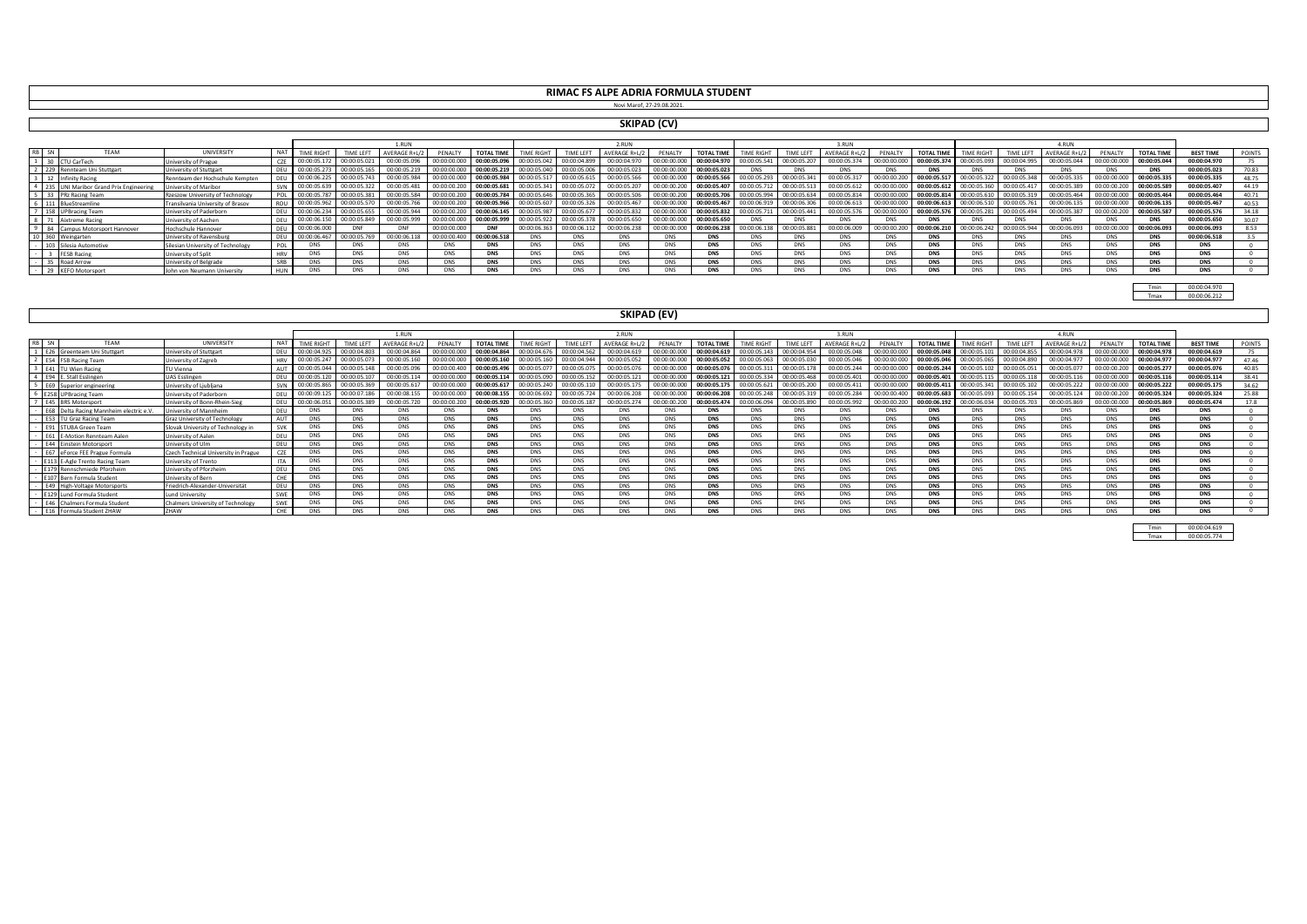**RIMAC FS ALPE ADRIA FORMULA STUDENT** Novi Marof, 27-29.08.2021.

#### **SKIPAD (CV)**

|  |                                    |                                   |             |                  |              |              |              |                   |              |              | RIIN               |              |                  |                   |                 | 3. RUN       |              |                   |              |              |              |                     |                  |                  |               |
|--|------------------------------------|-----------------------------------|-------------|------------------|--------------|--------------|--------------|-------------------|--------------|--------------|--------------------|--------------|------------------|-------------------|-----------------|--------------|--------------|-------------------|--------------|--------------|--------------|---------------------|------------------|------------------|---------------|
|  |                                    | <b>UNIVERSITY</b>                 | <b>NAT</b>  | <b>TIME RIGH</b> |              | 'ERAGE R+L/2 | PENALT       | <b>TOTAL TIML</b> |              |              | <b>AVERAGE R+L</b> | PENALTY      | <b>TOTAL TIM</b> | <b>TIME RIGHT</b> | <b>TIME LEF</b> |              |              | <b>TOTAL TIME</b> |              |              |              | PENALT <sub>1</sub> | <b>TOTAL TIM</b> | <b>BEST TIME</b> | <b>POINTS</b> |
|  | TU CarTech                         | University of Prague              | CZE I       | 00:00:05.172     | 00:00:05.021 | 00:00:05.096 | 00:00:00.000 | 00:00:05.09       | 00:00:05.042 | 00:00:04.899 | 00:00:04.970       | 00:00:00.000 | 00:00:04.970     | 00:00:05.541      | 00:00:05.207    | 00:00:05.374 | 00:00:00.000 | 00:00:05.374      | 00:00:05.093 | 00:00:04.995 | 00:00:05.044 | 00:00:00.000        | 00:00:05.04      | 00:00:04.970     |               |
|  | 229 Rennteam Uni Stuttgart         | University of Stuttgart           | DELL        | 00:00:05.273     | 00:00:05.165 | 00:00:05.219 | 00:00:00.000 | 00:00:05.219      | 00:00:05.040 | 00:00:05.006 | 00:00:05.023       | 00:00:00.000 | 00:00:05.023     | <b>DNS</b>        |                 | <b>DNS</b>   | <b>DNS</b>   |                   | <b>DNS</b>   |              |              |                     | <b>DNS</b>       | 00:00:05.023     | 70.83         |
|  | <b>Infinity Racing</b>             | Rennteam der Hochschule Kempten   |             | 00:00:06.225     | 00:00:05.743 | 00:00:05.98  | 00:00:00.000 | 00:00:05.98       | 00:00:05.517 | 00:00:05.619 | 00:00:05.566       | 00:00:00.000 | 00:00:05.56      | 00:00:05.29       | 00:00:05.341    | 00:00:05.317 | 00:00:00.200 | 00:00:05.517      | 00:00:05.322 | 00:00:05.348 | 00:00:05.335 | 00:00:00.000        | 00:00:05.33      | 00:00:05.335     | 48.75         |
|  | UNI Maribor Grand Prix Engineering | Jniversity of Maribor             |             | 00:00:05.639     | 00:00:05.322 | 00:00:05.48  | 00:00:00.20  | 00:00:05.68       | 00:00:05     | 00:00:05.072 | 00:00:05.207       | 00:00:00     | 00:00:05.407     | 00:00:05.713      | 00:00:05.51     | 00:00:05.612 | 00:00:00.000 | 00:00:05.612      | 00:00:05.360 | 00:00:05.41  | 00:00:05.389 | 00:00:00.2          | 00:00:05.58      | 00:00:05.407     | 44.19         |
|  | PRz Racing Team                    | Rzeszow University of Technology  | ₽∩I         | 00:00:05.787     | 00:00:05.381 | 00:00:05.584 | 00:00:00.200 | 00:00:05.78       | 00:00:05.646 | 00:00:05.369 | 00:00:05.506       | 00:00:00.200 | 00:00:05.706     | 00:00:05.99       | 00:00:05.634    | 00:00:05.81  | 00:00:00.000 | 00:00:05.814      | 00:00:05.610 | 00:00:05.31  | 00:00:05.464 | 00:00:00.000        | 00:00:05.46      | 00:00:05.464     | 40.71         |
|  | 111 BlueStreamline                 | Transilvania University of Brasov | <b>ROLL</b> | 00:00:05.96      |              | 00:00:05.    | 00:00:00.200 | 00:00:05.9        |              |              | 00:00:05.467       |              | 00:00:05.467     | 00:00:06.91       | 00:00:06        | 00:00:06.61  | 00:00:00.000 | 00:00:06.613      | 00:00:06.510 |              | 00:00:06.135 | 00:00:00.000        | 00:00:06.13      | 00:00:05.467     | 40.53         |
|  | 158 UPBracing Team                 | University of Paderborn           | DEU         | 00:00:06.234     | 00:00:05.655 | 00:00:05.944 | 00:00:00.200 | 00:00:06.14       |              | 00:00:05     | 00:00:05.832       |              | 00:00:05.832     | 00:00:05.71:      | 00:00:05.441    | 00:00:05.576 | 00:00:00.000 | 00:00:05.576      | 00:00:05.281 |              | 00:00:05.387 | 00:00:00.200        | 00:00:05.58      | 00:00:05.576     | 34.18         |
|  | Aixtreme Racing                    | Jniversity of Aachen              |             | 00:00:06.150     | 00:00:05.849 | 00:00:05.999 | 00:00:00.000 | 00:00:05.99       | 00:00:05.922 | 00:00:05.378 | 00:00:05.650       | 00:00:00.000 | 00:00:05.650     | DNS.              |                 | <b>DNS</b>   | <b>DNS</b>   |                   | <b>DNS</b>   |              |              | DNS                 | <b>DNS</b>       | 00:00:05.650     |               |
|  | 84 Campus Motorsport Hannover      | Hochschule Hannover               | DEU         | 00:00:06.000     |              |              | 00:00:00.000 | <b>DNF</b>        | 00:00:06.363 | 00:00:06.112 | 00:00:06.238       | 00:00:00.000 | 00:00:06.238     | 00:00:06.138      | 00:00:05.8      | 00:00:06.009 | 00:00:00.200 | 00:00:06.210      | 90:00:06.242 | 00:00:05.944 | 00:00:06.093 | 00:00:00.000        | 00:00:06.09      | 00:00:06.093     |               |
|  | 360 Weingarten                     | University of Ravensburg          | DEU         | 00:00:06.467     | 00:00:05.76  | 00:00:06.118 | 00:00:00.400 | 00:00:06.51       |              | <b>DNS</b>   | DNS                |              |                  | ר מונ             |                 | <b>DNS</b>   | <b>DNS</b>   |                   | <b>DNS</b>   | <b>DNS</b>   |              |                     | <b>DNS</b>       | 00:00:06.518     |               |
|  | Silesia Automotive                 | Silesian University of Technology | POL         | <b>DNS</b>       | <b>DNS</b>   | <b>DNS</b>   | DNS          | <b>DNS</b>        |              | <b>DNS</b>   | <b>DNS</b>         | <b>DNS</b>   | <b>DNS</b>       | <b>DNS</b>        | DNS             | DNS.         | <b>DNS</b>   | <b>DNS</b>        | <b>DNS</b>   | <b>DNS</b>   | <b>DNS</b>   | DNS                 | <b>DNS</b>       | <b>DNS</b>       |               |
|  | <b>FESB Racing</b>                 | <b>Jniversity of Split</b>        | <b>HRV</b>  | <b>DNS</b>       | <b>DNS</b>   | <b>DNS</b>   | <b>DNS</b>   | <b>DNS</b>        |              | <b>DNS</b>   | DNS                | <b>DNS</b>   | <b>DNS</b>       | <b>DNS</b>        | <b>DNS</b>      | DNS.         | <b>DNS</b>   | <b>DNS</b>        | <b>DNS</b>   | <b>DNS</b>   | <b>DNS</b>   | <b>DNS</b>          | <b>DNS</b>       | <b>DNS</b>       |               |
|  | Road Arrow                         | University of Belgrade            | SRR         | <b>DNS</b>       | <b>DNS</b>   | <b>DNS</b>   | DNS          | <b>DNS</b>        |              | <b>DNS</b>   | <b>DNS</b>         | DNS          | <b>DNS</b>       | <b>DNS</b>        | <b>DN</b>       | <b>DNS</b>   | <b>DNS</b>   | <b>DNS</b>        | <b>DNS</b>   | <b>DNS</b>   |              | DNS                 | <b>DNS</b>       | <b>DNS</b>       |               |
|  | <b>KEFO Motorsport</b>             | John von Neumann University       | <b>HUN</b>  | DNS              |              |              | DNS          | <b>DNS</b>        |              | <b>DNS</b>   | DNS                |              | <b>DNS</b>       |                   |                 | <b>DNS</b>   | <b>DNS</b>   |                   | <b>DNS</b>   |              |              | DN:                 | <b>DNS</b>       | <b>DNS</b>       |               |

Tmin 00:00:04.970 Tmax 00:00:06.212

#### **SKIPAD (EV)**

|                                      |                                          |                 |              | 1.RUN        |              |              |                  |                   | RIJN             |                    |                |                  |                   | 3.RUN        |              |              |                   |                   | 4.RUN        |                     |                |                   |                  |        |
|--------------------------------------|------------------------------------------|-----------------|--------------|--------------|--------------|--------------|------------------|-------------------|------------------|--------------------|----------------|------------------|-------------------|--------------|--------------|--------------|-------------------|-------------------|--------------|---------------------|----------------|-------------------|------------------|--------|
| RB SN<br>TFAM                        | UNIVERSITY                               | <b>NAT</b>      |              | TIME LEFT    | VERAGE R+I / | PENAIT       | <b>TOTAL TIM</b> | <b>TIME RIGHT</b> | <b>TIME LEFT</b> | <b>AVERAGE R+I</b> | <b>PENAITY</b> | <b>TOTAL TIM</b> | <b>TIME RIGHT</b> | TIME LEFT    |              | PENAITY      | <b>TOTAL TIME</b> | <b>TIME RIGHT</b> | TIME LEFT    | <b>AVERAGE R+L/</b> | <b>PFNAITY</b> | <b>TOTAL TIME</b> | <b>BEST TIME</b> | POINTS |
| 1 E26 Greenteam Uni Stuttgart        | University of Stutteart                  | DELL            | 00:00:04.925 |              | 00:00:04.8   | 00:00:00.0   | 00:00:04.8       | 00:00:04.6        | 00:00:04         | 00:00:04.619       | 00:00:00       | 00:00:04.619     | 00:00:05.14       | 00:00:04     | 00:00:05.048 |              | 00:00:05.048      |                   | 00:00:04.855 | 00:00:04.978        | 00:00:00.000   | 00:00:04.978      | 00:00:04.619     |        |
| 2 ES4 FSB Racing Team                | University of Zagreb                     | HRV             | 00:00:05.24  | 00:00:05.07  | 00:00:05.160 | 00:00:00.00  | 00:00:05.160     | 00:00:05.160      | 00:00:04.944     | 00:00:05.052       | 00:00:00.000   | 00:00:05.052     | 00:00:05.063      | 00:00:05.03  | 00:00:05.046 | 00:00:00.000 | 00:00:05.046      | 00:00:05.065      | 00:00:04.890 | 00:00:04.977        | 00:00:00.000   | 00:00:04.977      | 00:00:04.977     | 47.46  |
| 3 E41 TU Wien Racine                 | TU Vienna                                | <b>ALIT</b>     | 00:00:05.044 | 00:00:05.148 | 00:00:05.096 | 00:00:00.400 | 00:00:05.49      | 00:00:05.077      | 00:00:05.075     | 00:00:05.076       | 00:00:00.000   | 00:00:05.076     | 00:00:05.311      | 00:00:05.178 | 00:00:05.244 | 00:00:00.000 | 00:00:05.244      | 00:00:05.102      | 00:00:05.051 | 00:00:05.077        | 00:00:00.200   | 00:00:05.277      | 00:00:05.076     | 40.85  |
| 4 E94 E. Stall Esslingen             | <b>UAS Esslingen</b>                     | DEU             | 00:00:05.120 | 00:00:05.10  | 00:00:05.114 | 00:00:00.00  | 00:00:05.114     | 00:00:05.090      | 00:00:05.152     | 00:00:05.121       | 00:00:00.000   | 00:00:05.121     | 00:00:05.334      | 00:00:05.468 | 00:00:05.401 | 00:00:00.000 | 00:00:05.401      | 00:00:05.115      | 00:00:05.118 | 00:00:05.116        | 00:00:00.00    | 00:00:05.11       | 00:00:05.114     | 38.41  |
| 5 E69 Superior engineering           | University of Ljubljana                  |                 | 00:00:05.865 | 00:00:05.369 | 00:00:05.617 | 00:00:00.00  | 00:00:05.617     | 00:00:05.240      | 00:00:05.110     | 00:00:05.175       | 00:00:00.000   | 00:00:05.175     | 00:00:05.621      | 00:00:05.200 | 00:00:05.411 | 00:00:00.000 | 00:00:05.411      | 00:00:05.341      | 00:00:05.102 | 00:00:05.222        | 00:00:00.000   | 00:00:05.222      | 00:00:05.175     | 34.62  |
| 6 E258 UPBracing Team                | University of Paderborn                  | DEU             | 00:00:09.125 | 00:00:07.18  | 00:00:08.155 | 00:00:00.0   | 00:00:08.15      | 00:00:06.692      | 00:00:05.724     | 00:00:06.208       | 00:00:00.00    | 00:00:06.208     | 00:00:05.248      | 00:00:05     | 00:00:05.284 | 00:00:00.400 | 00:00:05.683      | 00:00:05.093      | 00:00:05.154 | 00:00:05.124        | 00:00:00.20    | 00:00:05.324      | 00:00:05.324     | 25.88  |
| 7 E45 BRS Motorsport                 | University of Bonn-Rhein-Sieg            | DELL            | 00:00:06.051 | 00:00:05.38  | 00:00:05.720 | 00:00:00.20  | 00:00:05.920     | 00:00:05.360      | 00:00:05.187     | 00:00:05.274       | 00:00:00.200   | 00:00:05.474     | 00:00:06.094      | 00:00:05.890 | 00:00:05.992 | 00:00:00.200 | 00:00:06.192      | 00:00:06.034      | 00:00:05.703 | 00:00:05.869        | 00:00:00.000   | 00:00:05.86       | 00:00:05.474     | 17.8   |
| E68 Delta Racing Mannheim electric e | University of Mannheim                   | DELL            | <b>DNS</b>   | <b>DNS</b>   | DNS          | <b>DNS</b>   | <b>DNS</b>       |                   | <b>DNS</b>       | <b>DNS</b>         | DNS            | <b>DNS</b>       | <b>DNS</b>        | DNS          | DNS.         | <b>DNS</b>   |                   | <b>DNS</b>        |              | DNS                 | <b>DNS</b>     | <b>DNS</b>        | <b>DNS</b>       |        |
| <b>E53 TU Graz Racing Team</b>       | Graz University of Technology            | AUT             | <b>DNS</b>   | <b>DNS</b>   | <b>DNS</b>   | <b>DNS</b>   | <b>DNS</b>       | <b>DNS</b>        | <b>DNS</b>       | <b>DNS</b>         | <b>DNS</b>     | <b>DNS</b>       | <b>DNS</b>        | <b>DNS</b>   | <b>DNS</b>   | <b>DNS</b>   |                   | <b>DNS</b>        | DNS          | <b>DNS</b>          | <b>DNS</b>     | <b>DNS</b>        | <b>DNS</b>       |        |
| - E91 STUBA Green Team               | Slovak University of Technology in       | <b>SVK</b>      | <b>DNS</b>   | <b>DNS</b>   | <b>DNS</b>   | DNS          | <b>DNS</b>       | <b>DNS</b>        | <b>DNS</b>       | <b>DNS</b>         | <b>DNS</b>     | <b>DNS</b>       | <b>DNS</b>        | <b>DNS</b>   | <b>DNS</b>   | <b>DNS</b>   |                   | <b>DNS</b>        | <b>DNS</b>   | <b>DNS</b>          | <b>DNS</b>     | <b>DNS</b>        | <b>DNS</b>       |        |
| E61 E-Motion Rennteam Aalen          | University of Aalen                      | DEU             | <b>DNS</b>   | <b>DNS</b>   | DNS          | DNS          | <b>DNS</b>       | <b>DNS</b>        | <b>DNS</b>       | DNS                | <b>DNS</b>     | <b>DNS</b>       | <b>DNS</b>        | <b>DNS</b>   | <b>DNS</b>   | <b>DNS</b>   |                   | <b>DNS</b>        | DNS          | <b>DNS</b>          | <b>DNS</b>     | <b>DNS</b>        | <b>DNS</b>       |        |
| <b>E44</b> Einstein Motorsport       | University of Ulm                        | <b>DELL</b>     | <b>DNS</b>   | <b>DNS</b>   | DNS          | <b>DNS</b>   | <b>DNS</b>       | <b>DNS</b>        | <b>DNS</b>       | <b>DNS</b>         | DNS            | <b>DNS</b>       | <b>DNS</b>        | <b>DNS</b>   | <b>DNS</b>   | <b>DNS</b>   | <b>DNS</b>        | <b>DNS</b>        | DNS          | <b>DNS</b>          | <b>DNS</b>     | <b>DNS</b>        | <b>DNS</b>       |        |
| - E67 eForce FEE Prague Formula      | Czech Technical University in Prague     | C <sub>7F</sub> | <b>DNS</b>   | <b>DNS</b>   | <b>DNS</b>   | DNS          | <b>DNS</b>       | <b>DNS</b>        | <b>DNS</b>       | DNS                | <b>DNS</b>     | <b>DNS</b>       | <b>DNS</b>        | <b>DNS</b>   | <b>DNS</b>   | <b>DNS</b>   |                   | <b>DNS</b>        | DNS          | <b>DNS</b>          | <b>DNS</b>     | <b>DNS</b>        | <b>DNS</b>       |        |
| E113 E-Agle Trento Racing Team       | University of Trento                     | <b>ITA</b>      | <b>DNS</b>   | <b>DNS</b>   | <b>DNS</b>   | <b>DNS</b>   | <b>DNS</b>       | <b>DNS</b>        | <b>DNS</b>       | <b>DNS</b>         | <b>DNS</b>     | <b>DNS</b>       | <b>DNS</b>        | <b>DNS</b>   | DNS.         | <b>DNS</b>   |                   | <b>DNS</b>        | <b>DNS</b>   | <b>DNS</b>          | <b>DNS</b>     | <b>DNS</b>        | <b>DNS</b>       |        |
| E179 Rennschmiede Pforzheim          | University of Pforzheim                  | <b>DELL</b>     | <b>DNS</b>   | <b>DNS</b>   | <b>DNS</b>   | <b>DNS</b>   | <b>DNS</b>       | <b>DNS</b>        | <b>DNS</b>       | <b>DNS</b>         | <b>DNS</b>     | <b>DNS</b>       | <b>DNS</b>        | <b>DNS</b>   | <b>DNS</b>   | <b>DNS</b>   | <b>DNS</b>        | <b>DNS</b>        | <b>DNS</b>   | <b>DNS</b>          | <b>DNS</b>     | <b>DNS</b>        | <b>DNS</b>       |        |
| E107 Bern Formula Student            | <b>University of Bern</b>                | CHE             | <b>DNS</b>   | <b>DNS</b>   | <b>DNS</b>   | <b>DNS</b>   | <b>DNS</b>       | <b>DNS</b>        | <b>DNS</b>       | <b>DNS</b>         | <b>DNS</b>     | <b>DNS</b>       | <b>DNS</b>        | DNS          | DNS.         | <b>DNS</b>   |                   | <b>DNS</b>        | DNS          | <b>DNS</b>          | <b>DNS</b>     | <b>DNS</b>        | <b>DNS</b>       |        |
| E49 High-Voltage Motorsports         | Friedrich-Alexander-Universität          | DELI            | <b>DNS</b>   | <b>DNS</b>   | <b>DNS</b>   | <b>DNS</b>   | <b>DNS</b>       | <b>DNS</b>        | <b>DNS</b>       | <b>DNS</b>         | <b>DNS</b>     | <b>DNS</b>       | <b>DNS</b>        | <b>DNS</b>   | DNS.         | <b>DNS</b>   |                   | <b>DNS</b>        | <b>DNS</b>   | <b>DNS</b>          | <b>DNS</b>     | <b>DNS</b>        | <b>DNS</b>       |        |
| E129 Lund Formula Student            | <b>Lund University</b>                   | <b>CLA/C</b>    | <b>DNS</b>   | <b>DNS</b>   | <b>DNS</b>   | <b>DNS</b>   | <b>DNS</b>       | <b>DNS</b>        | <b>DNS</b>       | <b>DNS</b>         | <b>DNS</b>     | <b>DNS</b>       | <b>DNS</b>        | DNS          | DNS.         | <b>DNS</b>   | <b>DNS</b>        | <b>DNS</b>        | <b>DNS</b>   | <b>DNS</b>          | <b>DNS</b>     | <b>DNS</b>        | <b>DNS</b>       |        |
| E46 Chalmers Formula Student         | <b>Chalmers University of Technology</b> | SWF             | <b>DNS</b>   | <b>DNS</b>   | <b>DNS</b>   | <b>DNS</b>   | <b>DNS</b>       |                   | <b>DNS</b>       | <b>DNS</b>         | <b>DNS</b>     | <b>DNS</b>       | <b>DNS</b>        | <b>DNS</b>   | DNS.         | <b>DNS</b>   |                   | <b>DNS</b>        | DNS          | <b>DNS</b>          | <b>DNS</b>     | <b>DNS</b>        | <b>DNS</b>       |        |
| E16 Formula Student ZHAW             |                                          | CHE             | <b>DNS</b>   | <b>DNS</b>   | <b>DNS</b>   | <b>DNS</b>   | <b>DNS</b>       |                   | <b>DNS</b>       | <b>DNS</b>         | <b>DNS</b>     | <b>DNS</b>       | <b>DNS</b>        | DNS          | <b>DNS</b>   | <b>DNS</b>   |                   | <b>DNS</b>        | DNS          |                     | <b>DNS</b>     | <b>DNS</b>        | <b>DNS</b>       |        |

Tmin 00:00:04.619 Tmax 00:00:05.774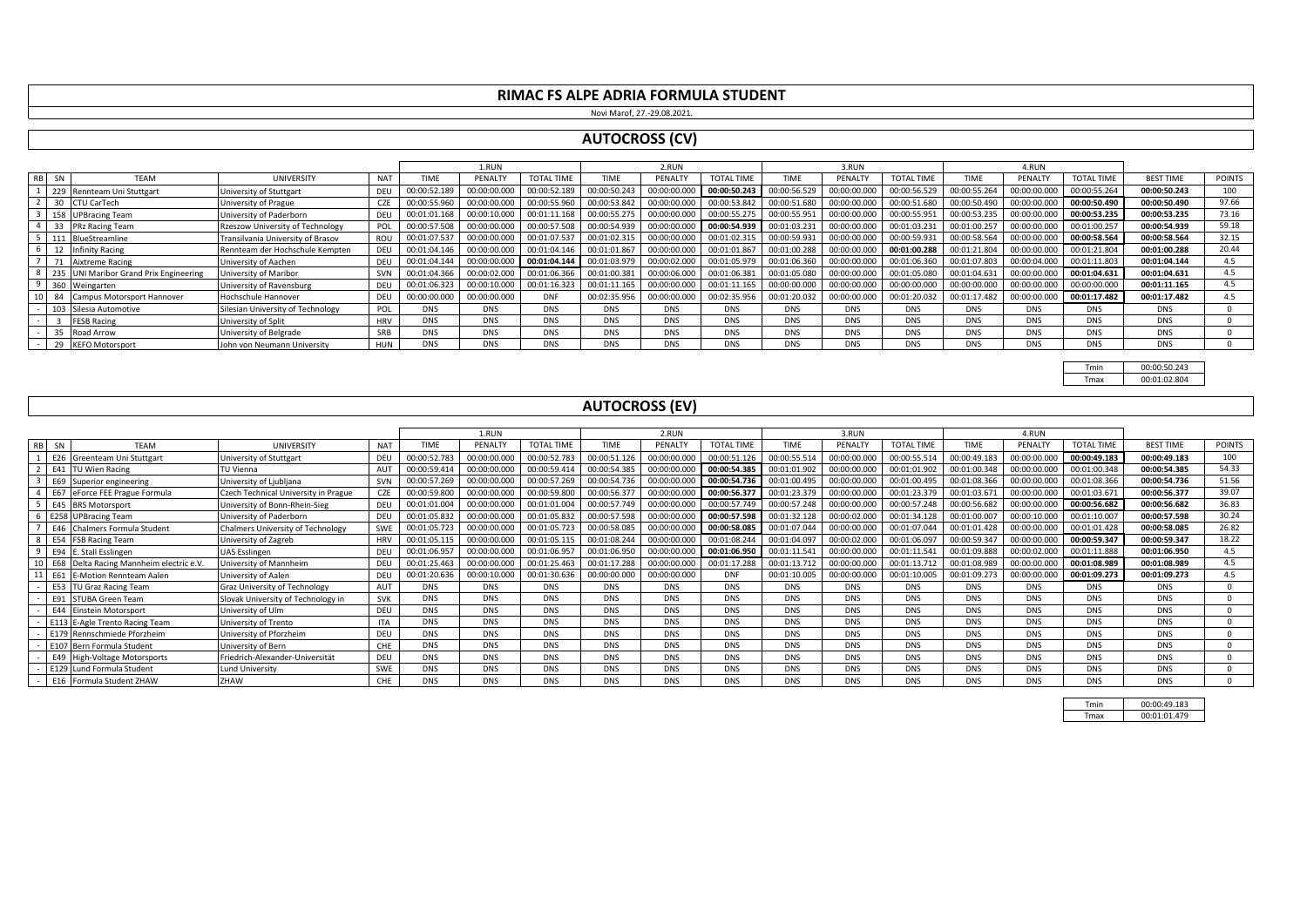Novi Marof, 27.-29.08.2021.

#### **AUTOCROSS (CV)**

|          |                                        |                                   |            |              | 1.RUN        |                   |              | 2.RUN        |                   |              | 3.RUN        |                   |              | 4.RUN        |                   |                  |               |
|----------|----------------------------------------|-----------------------------------|------------|--------------|--------------|-------------------|--------------|--------------|-------------------|--------------|--------------|-------------------|--------------|--------------|-------------------|------------------|---------------|
| RB<br>SN | <b>TFAM</b>                            | UNIVERSITY                        | <b>NAT</b> | <b>TIME</b>  | PENALTY      | <b>TOTAL TIME</b> | <b>TIME</b>  | PENALTY      | <b>TOTAL TIME</b> | TIME         | PENALTY      | <b>TOTAL TIME</b> | TIME         | PENALTY      | <b>TOTAL TIME</b> | <b>BEST TIME</b> | <b>POINTS</b> |
|          | 229 Rennteam Uni Stuttgart             | University of Stuttgart           | DEU        | 00:00:52.189 | 00:00:00.000 | 00:00:52.189      | 00:00:50.243 | 00:00:00.000 | 00:00:50.243      | 00:00:56.529 | 00:00:00.000 | 00:00:56.529      | 00:00:55.264 | 00:00:00.000 | 00:00:55.264      | 00:00:50.243     | 100           |
|          | 30 CTU CarTech                         | University of Prague              | CZE        | 00:00:55.960 | 00:00:00.000 | 00:00:55.960      | 00:00:53.842 | 00:00:00.000 | 00:00:53.842      | 00:00:51.680 | 00:00:00.000 | 00:00:51.680      | 00:00:50.490 | 00:00:00.000 | 00:00:50.490      | 00:00:50.490     | 97.66         |
|          | 158 UPBracing Team                     | University of Paderborn           | DEU        | 00:01:01.168 | 00:00:10.000 | 00:01:11.168      | 00:00:55.275 | 00:00:00.000 | 00:00:55.275      | 00:00:55.951 | 00:00:00.000 | 00:00:55.951      | 00:00:53.235 | 00:00:00.000 | 00:00:53.235      | 00:00:53.235     | 73.16         |
|          | 33 PRz Racing Team                     | Rzeszow University of Technology  | POL        | 00:00:57.508 | 00:00:00.000 | 00:00:57.508      | 00:00:54.939 | 00:00:00.000 | 00:00:54.939      | 00:01:03.231 | 00:00:00.000 | 00:01:03.231      | 00:01:00.257 | 00:00:00.000 | 00:01:00.257      | 00:00:54.939     | 59.18         |
|          | 111 BlueStreamline                     | Transilvania University of Brasov | ROU        | 00:01:07.537 | 00:00:00.000 | 00:01:07.537      | 00:01:02.315 | 00:00:00.000 | 00:01:02.315      | 00:00:59.931 | 00:00:00.000 | 00:00:59.931      | 00:00:58.564 | 00:00:00.000 | 00:00:58.564      | 00:00:58.564     | 32.15         |
|          | 12 Infinity Racing                     | Rennteam der Hochschule Kempten   | DEU        | 00:01:04.146 | 00:00:00.000 | 00:01:04.146      | 00:01:01.867 | 00:00:00.000 | 00:01:01.867      | 00:01:00.288 | 00:00:00.000 | 00:01:00.288      | 00:01:21.804 | 00:00:00.000 | 00:01:21.804      | 00:01:00.288     | 20.44         |
|          | 71 Aixtreme Racing                     | University of Aachen              | DEU        | 00:01:04.144 | 00:00:00.000 | 00:01:04.144      | 00:01:03.979 | 00:00:02.000 | 00:01:05.979      | 00:01:06.360 | 00:00:00.000 | 00:01:06.360      | 00:01:07.803 | 00:00:04.000 | 00:01:11.803      | 00:01:04.144     | 4.5           |
|          | 235 UNI Maribor Grand Prix Engineering | University of Maribor             | <b>SVN</b> | 00:01:04.366 | 00:00:02.000 | 00:01:06.366      | 00:01:00.381 | 00:00:06.000 | 00:01:06.381      | 00:01:05.080 | 00:00:00.000 | 00:01:05.080      | 00:01:04.631 | 00:00:00.000 | 00:01:04.631      | 00:01:04.631     | 4.5           |
|          | 360 Weingarten                         | University of Ravensburg          | DEL        | 00:01:06.323 | 00:00:10.000 | 00:01:16.323      | 00:01:11.165 | 00:00:00.000 | 00:01:11.165      | 00:00:00.000 | 00:00:00.000 | 00:00:00.000      | 00:00:00.000 | 00:00:00.000 | 00:00:00.000      | 00:01:11.165     | 4.5           |
|          | 10 84 Campus Motorsport Hannover       | Hochschule Hannover               | DEU        | 00:00:00.000 | 00:00:00.000 | <b>DNF</b>        | 00:02:35.956 | 00:00:00.000 | 00:02:35.956      | 00:01:20.032 | 00:00:00.000 | 00:01:20.032      | 00:01:17.482 | 00:00:00.000 | 00:01:17.482      | 00:01:17.482     | 4.5           |
|          | 103 Silesia Automotive                 | Silesian University of Technology | POL        | <b>DNS</b>   | <b>DNS</b>   | <b>DNS</b>        | <b>DNS</b>   | <b>DNS</b>   | <b>DNS</b>        | <b>DNS</b>   | <b>DNS</b>   | <b>DNS</b>        | <b>DNS</b>   | <b>DNS</b>   | <b>DNS</b>        | <b>DNS</b>       |               |
|          | <b>FESB Racing</b>                     | University of Split               | <b>HRV</b> | <b>DNS</b>   | <b>DNS</b>   | <b>DNS</b>        | <b>DNS</b>   | <b>DNS</b>   | <b>DNS</b>        | <b>DNS</b>   | <b>DNS</b>   | <b>DNS</b>        | <b>DNS</b>   | <b>DNS</b>   | <b>DNS</b>        | <b>DNS</b>       |               |
|          | 35 Road Arrow                          | University of Belgrade            | SRB        | <b>DNS</b>   | <b>DNS</b>   | <b>DNS</b>        | <b>DNS</b>   | <b>DNS</b>   | <b>DNS</b>        | <b>DNS</b>   | <b>DNS</b>   | <b>DNS</b>        | <b>DNS</b>   | <b>DNS</b>   | <b>DNS</b>        | <b>DNS</b>       |               |
|          | 29 KEFO Motorsport                     | John von Neumann University       | HUN        | <b>DNS</b>   | <b>DNS</b>   | <b>DNS</b>        | <b>DNS</b>   | <b>DNS</b>   | <b>DNS</b>        | <b>DNS</b>   | <b>DNS</b>   | <b>DNS</b>        | <b>DNS</b>   | <b>DNS</b>   | <b>DNS</b>        | <b>DNS</b>       |               |

Tmin 00:00:50.243<br>Tmax 00:01:02.804 00:01:02.804

#### **AUTOCROSS (EV)**

|    |      |                                         |                                      |                  |              | 1.RUN        |                   |              | 2.RUN        |                   |              | 3.RUN        |                   |              | 4.RUN        |                   |                  |               |
|----|------|-----------------------------------------|--------------------------------------|------------------|--------------|--------------|-------------------|--------------|--------------|-------------------|--------------|--------------|-------------------|--------------|--------------|-------------------|------------------|---------------|
| RB | - SN | <b>TFAM</b>                             | <b>UNIVERSITY</b>                    | <b>NAT</b>       | <b>TIME</b>  | PENALTY      | <b>TOTAL TIME</b> | TIME         | PENALTY      | <b>TOTAL TIME</b> | TIME         | PENALTY      | <b>TOTAL TIME</b> | TIME         | PENALTY      | <b>TOTAL TIME</b> | <b>BEST TIME</b> | <b>POINTS</b> |
|    |      | E26 Greenteam Uni Stuttgart             | University of Stuttgart              | DEU              | 00:00:52.783 | 00:00:00.000 | 00:00:52.783      | 00:00:51.126 | 00:00:00.000 | 00:00:51.126      | 00:00:55.514 | 00:00:00.000 | 00:00:55.514      | 00:00:49.183 | 00:00:00.000 | 00:00:49.183      | 00:00:49.183     | 100           |
|    |      | E41 TU Wien Racing                      | TU Vienna                            | AU <sup>-</sup>  | 00:00:59.41  | 00:00:00.000 | 00:00:59.414      | 00:00:54.385 | 00:00:00.000 | 00:00:54.385      | 00:01:01.902 | 00:00:00.000 | 00:01:01.902      | 00:01:00.348 | 00:00:00.000 | 00:01:00.348      | 00:00:54.385     | 54.33         |
|    |      | E69 Superior engineering                | University of Ljubljana              | <b>SVN</b>       | 00:00:57.269 | 00:00:00.000 | 00:00:57.269      | 00:00:54.736 | 00:00:00.000 | 00:00:54.736      | 00:01:00.495 | 00:00:00.000 | 00:01:00.495      | 00:01:08.366 | 00:00:00.000 | 00:01:08.366      | 00:00:54.736     | 51.56         |
|    |      | E67 eForce FEE Prague Formula           | Czech Technical University in Prague | C <sub>Z</sub> F | 00:00:59.800 | 00:00:00.000 | 00:00:59.800      | 00:00:56.377 | 00:00:00.000 | 00:00:56.377      | 00:01:23.379 | 00:00:00.000 | 00:01:23.379      | 00:01:03.67  | 00:00:00.000 | 00:01:03.671      | 00:00:56.377     | 39.07         |
|    |      | <b>E45</b> BRS Motorsport               | University of Bonn-Rhein-Sieg        | DEU              | 00:01:01.004 | 00:00:00.000 | 00:01:01.004      | 00:00:57.749 | 00:00:00.000 | 00:00:57.749      | 00:00:57.248 | 00:00:00.000 | 00:00:57.248      | 00:00:56.682 | 00:00:00.000 | 00:00:56.682      | 00:00:56.682     | 36.83         |
|    |      | 6 E258 UPBracing Team                   | University of Paderborn              | DEU              | 00:01:05.832 | 00:00:00.000 | 00:01:05.832      | 00:00:57.598 | 00:00:00.000 | 00:00:57.598      | 00:01:32.128 | 00:00:02.000 | 00:01:34.128      | 00:01:00.00  | 00:00:10.000 | 00:01:10.007      | 00:00:57.598     | 30.24         |
|    |      | E46 Chalmers Formula Student            | Chalmers University of Technology    | SWF              |              | 00:00:00.000 | 00:01:05.723      | 00:00:58.085 | 00:00:00.000 | 00:00:58.085      | 00:01:07.044 | 00:00:00.000 | 00:01:07.044      | 00:01:01.428 | 00:00:00.000 | 00:01:01.428      | 00:00:58.085     | 26.82         |
| 8  |      | <b>E54</b> FSB Racing Team              | University of Zagreb                 | <b>HRV</b>       | 00:01:05.11  | 00:00:00.000 | 00:01:05.115      | 00:01:08.244 | 00:00:00.000 | 00:01:08.244      | 00:01:04.097 | 00:00:02.000 | 00:01:06.097      | 00:00:59.34  | 00:00:00.000 | 00:00:59.347      | 00:00:59.347     | 18.22         |
| 9  |      | E94 E. Stall Esslingen                  | UAS Esslingen                        | DEU              | 00:01:06.957 | 00:00:00.000 | 00:01:06.957      | 00:01:06.950 | 00:00:00.000 | 00:01:06.950      | 00:01:11.541 | 00:00:00.000 | 00:01:11.541      | 00:01:09.888 | 00:00:02.000 | 00:01:11.888      | 00:01:06.950     | 4.5           |
| 10 |      | E68 Delta Racing Mannheim electric e.V. | University of Mannheim               | DEU              | 00:01:25.463 | 00:00:00.000 | 00:01:25.463      | 00:01:17.288 | 00:00:00.000 | 00:01:17.288      | 00:01:13.712 | 00:00:00.000 | 00:01:13.712      | 00:01:08.989 | 00:00:00.000 | 00:01:08.989      | 00:01:08.989     | 4.5           |
| 11 | E61  | <b>E-Motion Rennteam Aalen</b>          | University of Aalen                  | DEU              | 00:01:20.636 | 00:00:10.000 | 00:01:30.636      | 00:00:00.000 | 00:00:00.000 | <b>DNF</b>        | 00:01:10.005 | 00:00:00.000 | 00:01:10.005      | 00:01:09.273 | 00:00:00.000 | 00:01:09.273      | 00:01:09.273     | 4.5           |
|    |      | E53 TU Graz Racing Team                 | <b>Graz University of Technology</b> | <b>AUT</b>       | <b>DNS</b>   | <b>DNS</b>   | <b>DNS</b>        | <b>DNS</b>   | <b>DNS</b>   | <b>DNS</b>        | <b>DNS</b>   | <b>DNS</b>   | <b>DNS</b>        | <b>DNS</b>   | <b>DNS</b>   | <b>DNS</b>        | <b>DNS</b>       | $\Omega$      |
|    |      | E91 STUBA Green Team                    | Slovak University of Technology in   | <b>SVK</b>       | <b>DNS</b>   | <b>DNS</b>   | <b>DNS</b>        | <b>DNS</b>   | <b>DNS</b>   | <b>DNS</b>        | <b>DNS</b>   | <b>DNS</b>   | <b>DNS</b>        | <b>DNS</b>   | <b>DNS</b>   | <b>DNS</b>        | <b>DNS</b>       |               |
|    |      | E44 Einstein Motorsport                 | University of Ulm                    | DEU              | <b>DNS</b>   | <b>DNS</b>   | <b>DNS</b>        | <b>DNS</b>   | <b>DNS</b>   | <b>DNS</b>        | <b>DNS</b>   | <b>DNS</b>   | <b>DNS</b>        | <b>DNS</b>   | <b>DNS</b>   | <b>DNS</b>        | <b>DNS</b>       |               |
|    |      | E113 E-Agle Trento Racing Team          | University of Trento                 | <b>ITA</b>       | <b>DNS</b>   | <b>DNS</b>   | <b>DNS</b>        | <b>DNS</b>   | <b>DNS</b>   | <b>DNS</b>        | <b>DNS</b>   | <b>DNS</b>   | <b>DNS</b>        | <b>DNS</b>   | <b>DNS</b>   | <b>DNS</b>        | <b>DNS</b>       |               |
|    |      | E179 Rennschmiede Pforzheim             | University of Pforzheim              | DEU              | <b>DNS</b>   | DNS          | <b>DNS</b>        | <b>DNS</b>   | <b>DNS</b>   | <b>DNS</b>        | <b>DNS</b>   | <b>DNS</b>   | <b>DNS</b>        | <b>DNS</b>   | <b>DNS</b>   | <b>DNS</b>        | <b>DNS</b>       |               |
|    |      | E107 Bern Formula Student               | University of Bern                   | CHE              | <b>DNS</b>   | <b>DNS</b>   | <b>DNS</b>        | <b>DNS</b>   | <b>DNS</b>   | <b>DNS</b>        | <b>DNS</b>   | <b>DNS</b>   | <b>DNS</b>        | <b>DNS</b>   | <b>DNS</b>   | <b>DNS</b>        | <b>DNS</b>       |               |
|    |      | E49 High-Voltage Motorsports            | Friedrich-Alexander-Universität      | DEU              | <b>DNS</b>   | <b>DNS</b>   | <b>DNS</b>        | <b>DNS</b>   | <b>DNS</b>   | <b>DNS</b>        | <b>DNS</b>   | <b>DNS</b>   | <b>DNS</b>        | <b>DNS</b>   | <b>DNS</b>   | <b>DNS</b>        | <b>DNS</b>       | $\Omega$      |
|    |      | E129 Lund Formula Student               | Lund University                      | SWE              | <b>DNS</b>   | <b>DNS</b>   | <b>DNS</b>        | <b>DNS</b>   | <b>DNS</b>   | <b>DNS</b>        | <b>DNS</b>   | <b>DNS</b>   | <b>DNS</b>        | <b>DNS</b>   | <b>DNS</b>   | <b>DNS</b>        | <b>DNS</b>       |               |
|    |      | E16 Formula Student ZHAW                | ZHAW                                 | CHE              | <b>DNS</b>   | <b>DNS</b>   | <b>DNS</b>        | <b>DNS</b>   | <b>DNS</b>   | DNS               | <b>DNS</b>   | <b>DNS</b>   | <b>DNS</b>        | <b>DNS</b>   | <b>DNS</b>   | <b>DNS</b>        | <b>DNS</b>       |               |

|              | 00.00.49183  |
|--------------|--------------|
| <b>I</b> may | 00:01:01.479 |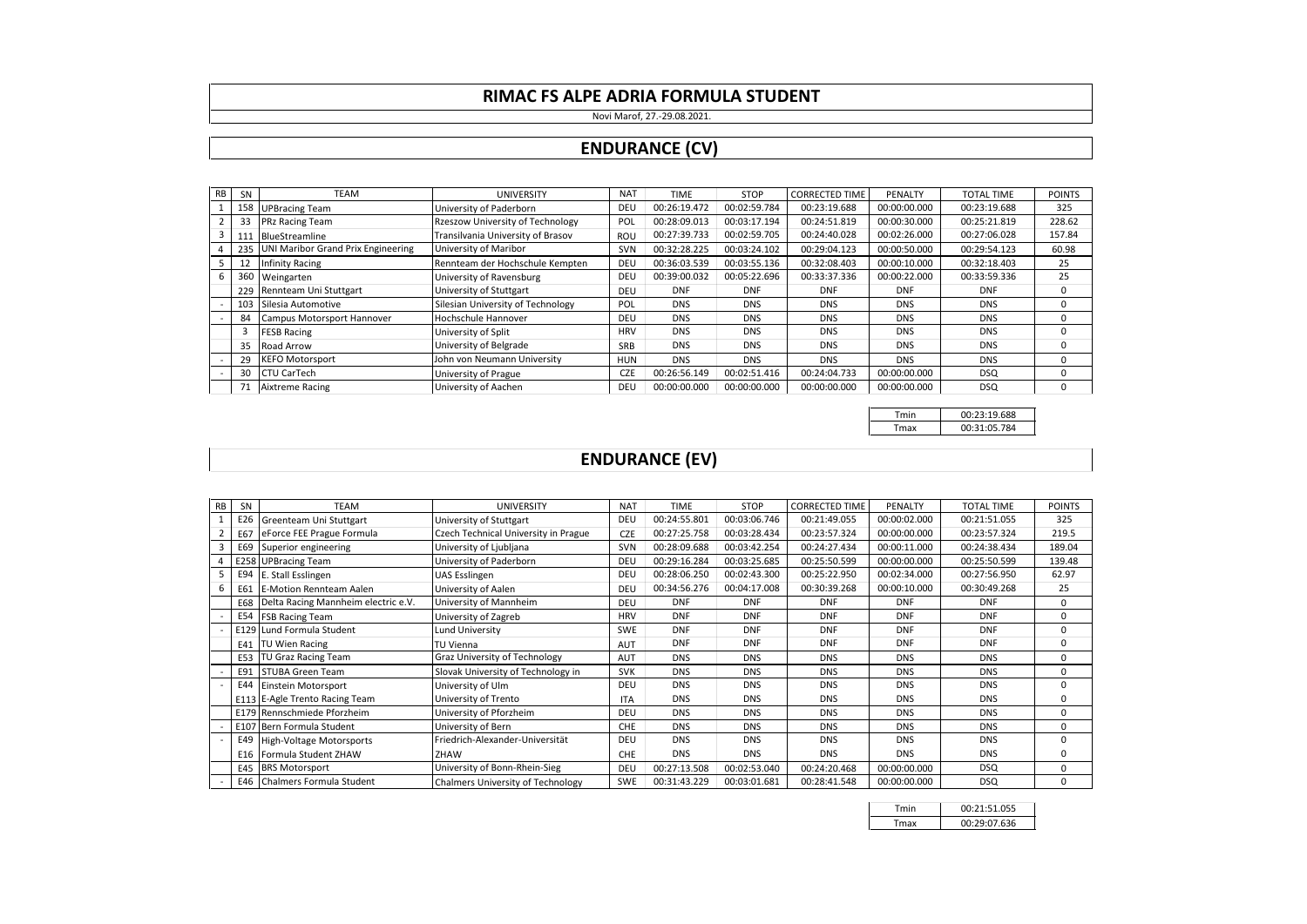#### Novi Marof, 27.-29.08.2021.

### **ENDURANCE (CV)**

| <b>RB</b> | SN  | <b>TEAM</b>                        | <b>UNIVERSITY</b>                 | <b>NAT</b> | <b>TIME</b>  | <b>STOP</b>  | <b>CORRECTED TIME</b> | PENALTY      | <b>TOTAL TIME</b> | <b>POINTS</b> |
|-----------|-----|------------------------------------|-----------------------------------|------------|--------------|--------------|-----------------------|--------------|-------------------|---------------|
|           | 158 | <b>UPBracing Team</b>              | University of Paderborn           | DEU        | 00:26:19.472 | 00:02:59.784 | 00:23:19.688          | 00:00:00.000 | 00:23:19.688      | 325           |
|           | 33  | <b>PRz Racing Team</b>             | Rzeszow University of Technology  | POL        | 00:28:09.013 | 00:03:17.194 | 00:24:51.819          | 00:00:30.000 | 00:25:21.819      | 228.62        |
| 3         | 111 | BlueStreamline                     | Transilvania University of Brasov | <b>ROU</b> | 00:27:39.733 | 00:02:59.705 | 00:24:40.028          | 00:02:26.000 | 00:27:06.028      | 157.84        |
|           | 235 | UNI Maribor Grand Prix Engineering | University of Maribor             | SVN        | 00:32:28.225 | 00:03:24.102 | 00:29:04.123          | 00:00:50.000 | 00:29:54.123      | 60.98         |
|           |     | <b>Infinity Racing</b>             | Rennteam der Hochschule Kempten   | DEU        | 00:36:03.539 | 00:03:55.136 | 00:32:08.403          | 00:00:10.000 | 00:32:18.403      | 25            |
| 6         | 360 | Weingarten                         | University of Ravensburg          | DEU        | 00:39:00.032 | 00:05:22.696 | 00:33:37.336          | 00:00:22.000 | 00:33:59.336      | 25            |
|           | 229 | Rennteam Uni Stuttgart             | University of Stuttgart           | DEU        | <b>DNF</b>   | <b>DNF</b>   | <b>DNF</b>            | <b>DNF</b>   | <b>DNF</b>        | $^{\circ}$    |
|           | 103 | Silesia Automotive                 | Silesian University of Technology | POL        | <b>DNS</b>   | <b>DNS</b>   | <b>DNS</b>            | <b>DNS</b>   | <b>DNS</b>        | $\Omega$      |
|           | 84  | Campus Motorsport Hannover         | Hochschule Hannover               | DEU        | <b>DNS</b>   | <b>DNS</b>   | <b>DNS</b>            | <b>DNS</b>   | <b>DNS</b>        | 0             |
|           |     | <b>FESB Racing</b>                 | University of Split               | <b>HRV</b> | <b>DNS</b>   | <b>DNS</b>   | <b>DNS</b>            | <b>DNS</b>   | <b>DNS</b>        | $\Omega$      |
|           | 35  | Road Arrow                         | University of Belgrade            | SRB        | <b>DNS</b>   | <b>DNS</b>   | <b>DNS</b>            | <b>DNS</b>   | <b>DNS</b>        | 0             |
|           | 29  | <b>KEFO Motorsport</b>             | John von Neumann University       | <b>HUN</b> | <b>DNS</b>   | <b>DNS</b>   | <b>DNS</b>            | <b>DNS</b>   | <b>DNS</b>        | 0             |
|           | 30  | <b>CTU CarTech</b>                 | University of Prague              | <b>CZE</b> | 00:26:56.149 | 00:02:51.416 | 00:24:04.733          | 00:00:00.000 | <b>DSQ</b>        | 0             |
|           | 71  | Aixtreme Racing                    | University of Aachen              | DEU        | 00:00:00.000 | 00:00:00.000 | 00:00:00.000          | 00:00:00.000 | <b>DSQ</b>        | 0             |

Tmin 00:23:19.688 Tmax 00:31:05.784

# **ENDURANCE (EV)**

| <b>RB</b> | SN  | <b>TEAM</b>                         | <b>UNIVERSITY</b>                    | <b>NAT</b> | <b>TIME</b>  | <b>STOP</b>  | <b>CORRECTED TIME</b> | PENALTY      | <b>TOTAL TIME</b> | <b>POINTS</b> |
|-----------|-----|-------------------------------------|--------------------------------------|------------|--------------|--------------|-----------------------|--------------|-------------------|---------------|
|           | E26 | Greenteam Uni Stuttgart             | University of Stuttgart              | DEU        | 00:24:55.801 | 00:03:06.746 | 00:21:49.055          | 00:00:02.000 | 00:21:51.055      | 325           |
|           | E67 | eForce FEE Prague Formula           | Czech Technical University in Prague | <b>CZE</b> | 00:27:25.758 | 00:03:28.434 | 00:23:57.324          | 00:00:00.000 | 00:23:57.324      | 219.5         |
| 3         | E69 | Superior engineering                | University of Ljubljana              | SVN        | 00:28:09.688 | 00:03:42.254 | 00:24:27.434          | 00:00:11.000 | 00:24:38.434      | 189.04        |
|           |     | E258 UPBracing Team                 | University of Paderborn              | DEU        | 00:29:16.284 | 00:03:25.685 | 00:25:50.599          | 00:00:00.000 | 00:25:50.599      | 139.48        |
|           | E94 | E. Stall Esslingen                  | <b>UAS Esslingen</b>                 | DEU        | 00:28:06.250 | 00:02:43.300 | 00:25:22.950          | 00:02:34.000 | 00:27:56.950      | 62.97         |
| 6         | E61 | <b>E-Motion Rennteam Aalen</b>      | University of Aalen                  | DEU        | 00:34:56.276 | 00:04:17.008 | 00:30:39.268          | 00:00:10.000 | 00:30:49.268      | 25            |
|           | E68 | Delta Racing Mannheim electric e.V. | University of Mannheim               | DEU        | <b>DNF</b>   | <b>DNF</b>   | <b>DNF</b>            | <b>DNF</b>   | <b>DNF</b>        | $\mathbf 0$   |
|           | E54 | <b>FSB Racing Team</b>              | University of Zagreb                 | <b>HRV</b> | <b>DNF</b>   | <b>DNF</b>   | <b>DNF</b>            | <b>DNF</b>   | <b>DNF</b>        | $\mathbf 0$   |
|           |     | E129 Lund Formula Student           | <b>Lund University</b>               | <b>SWE</b> | <b>DNF</b>   | <b>DNF</b>   | <b>DNF</b>            | <b>DNF</b>   | <b>DNF</b>        | $\mathbf 0$   |
|           | E41 | <b>TU Wien Racing</b>               | <b>TU Vienna</b>                     | <b>AUT</b> | <b>DNF</b>   | <b>DNF</b>   | <b>DNF</b>            | <b>DNF</b>   | <b>DNF</b>        | $\mathbf 0$   |
|           | E53 | TU Graz Racing Team                 | <b>Graz University of Technology</b> | <b>AUT</b> | <b>DNS</b>   | <b>DNS</b>   | <b>DNS</b>            | <b>DNS</b>   | <b>DNS</b>        | 0             |
|           | E91 | STUBA Green Team                    | Slovak University of Technology in   | <b>SVK</b> | <b>DNS</b>   | <b>DNS</b>   | <b>DNS</b>            | <b>DNS</b>   | <b>DNS</b>        | 0             |
|           | E44 | Einstein Motorsport                 | University of Ulm                    | DEU        | <b>DNS</b>   | <b>DNS</b>   | <b>DNS</b>            | <b>DNS</b>   | <b>DNS</b>        | $\mathbf 0$   |
|           |     | E113 E-Agle Trento Racing Team      | University of Trento                 | <b>ITA</b> | <b>DNS</b>   | <b>DNS</b>   | <b>DNS</b>            | <b>DNS</b>   | <b>DNS</b>        | $\mathbf 0$   |
|           |     | E179 Rennschmiede Pforzheim         | University of Pforzheim              | DEU        | <b>DNS</b>   | <b>DNS</b>   | <b>DNS</b>            | <b>DNS</b>   | <b>DNS</b>        | $\mathbf 0$   |
|           |     | E107 Bern Formula Student           | University of Bern                   | <b>CHE</b> | <b>DNS</b>   | <b>DNS</b>   | <b>DNS</b>            | <b>DNS</b>   | <b>DNS</b>        | 0             |
|           | E49 | <b>High-Voltage Motorsports</b>     | Friedrich-Alexander-Universität      | DEU        | <b>DNS</b>   | <b>DNS</b>   | <b>DNS</b>            | <b>DNS</b>   | <b>DNS</b>        | $\mathbf 0$   |
|           | E16 | Formula Student ZHAW                | ZHAW                                 | <b>CHE</b> | <b>DNS</b>   | <b>DNS</b>   | <b>DNS</b>            | <b>DNS</b>   | <b>DNS</b>        | $\mathbf 0$   |
|           | E45 | <b>BRS Motorsport</b>               | University of Bonn-Rhein-Sieg        | DEU        | 00:27:13.508 | 00:02:53.040 | 00:24:20.468          | 00:00:00.000 | <b>DSQ</b>        | $\mathbf 0$   |
|           |     | E46 Chalmers Formula Student        | Chalmers University of Technology    | SWE        | 00:31:43.229 | 00:03:01.681 | 00:28:41.548          | 00:00:00.000 | <b>DSQ</b>        | $\mathbf 0$   |

| Tmin | 00:21:51.055 |
|------|--------------|
| Tmax | 00:29:07.636 |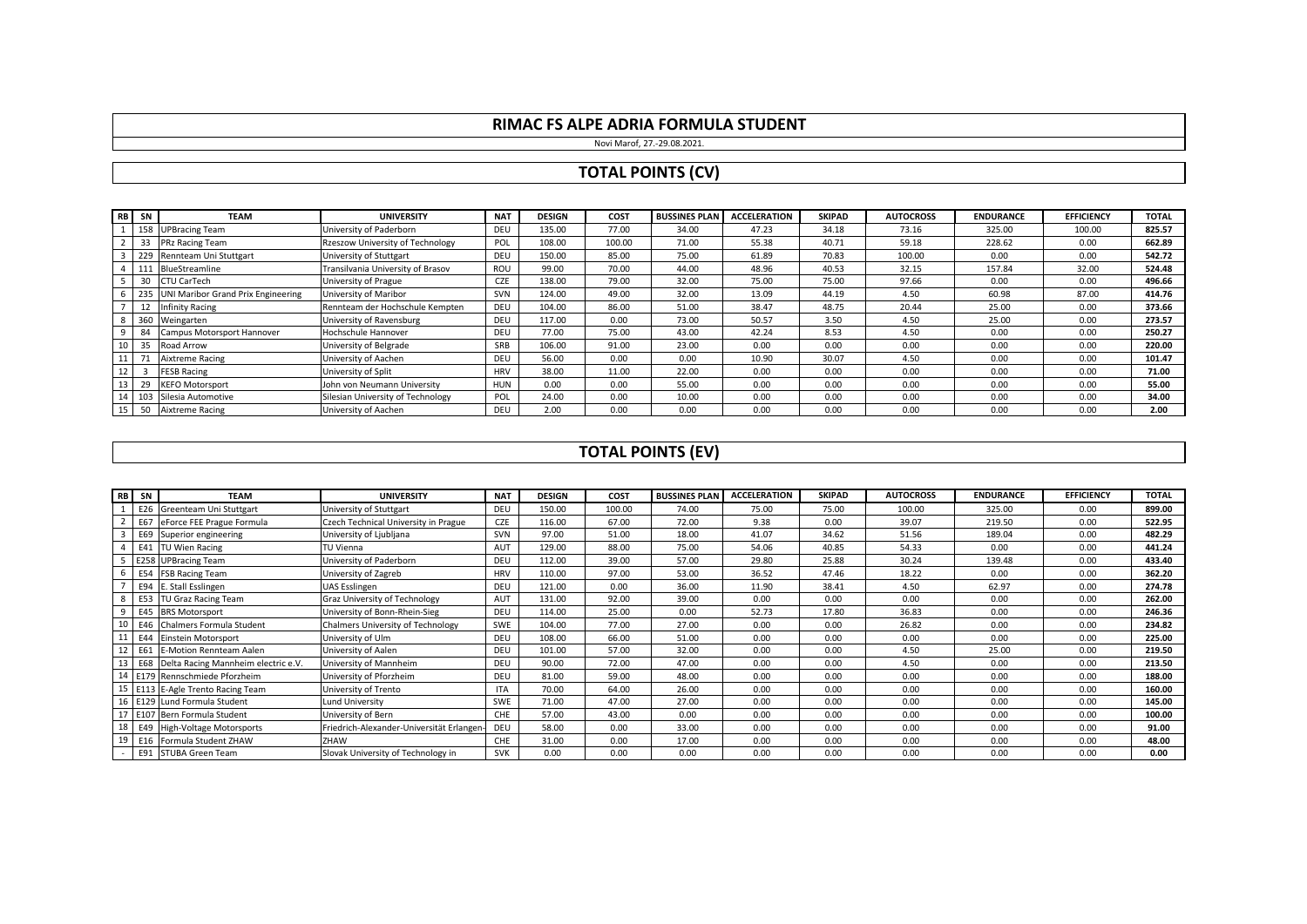Novi Marof, 27.-29.08.2021.

# **TOTAL POINTS (CV)**

|                 | RB SN        | <b>TEAM</b>                        | <b>UNIVERSITY</b>                 | <b>NAT</b> | <b>DESIGN</b> | COST   | <b>BUSSINES PLAN</b> | <b>ACCELERATION</b> | <b>SKIPAD</b> | <b>AUTOCROSS</b> | <b>ENDURANCE</b> | <b>EFFICIENCY</b> | <b>TOTAL</b> |
|-----------------|--------------|------------------------------------|-----------------------------------|------------|---------------|--------|----------------------|---------------------|---------------|------------------|------------------|-------------------|--------------|
|                 | 158          | <b>UPBracing Team</b>              | University of Paderborn           | DEU        | 135.00        | 77.00  | 34.00                | 47.23               | 34.18         | 73.16            | 325.00           | 100.00            | 825.57       |
|                 | 33           | PRz Racing Team                    | Rzeszow University of Technology  | POL        | 108.00        | 100.00 | 71.00                | 55.38               | 40.71         | 59.18            | 228.62           | 0.00              | 662.89       |
|                 | 3 229        | Rennteam Uni Stuttgart             | University of Stuttgart           | DEU        | 150.00        | 85.00  | 75.00                | 61.89               | 70.83         | 100.00           | 0.00             | 0.00              | 542.72       |
|                 | 4 111        | BlueStreamline                     | Transilvania University of Brasov | ROU        | 99.00         | 70.00  | 44.00                | 48.96               | 40.53         | 32.15            | 157.84           | 32.00             | 524.48       |
|                 | $5 \quad 30$ | <b>CTU CarTech</b>                 | University of Prague              | <b>CZE</b> | 138.00        | 79.00  | 32.00                | 75.00               | 75.00         | 97.66            | 0.00             | 0.00              | 496.66       |
|                 | 6 235        | UNI Maribor Grand Prix Engineering | University of Maribor             | SVN        | 124.00        | 49.00  | 32.00                | 13.09               | 44.19         | 4.50             | 60.98            | 87.00             | 414.76       |
|                 | 12           | <b>Infinity Racing</b>             | Rennteam der Hochschule Kempten   | DEU        | 104.00        | 86.00  | 51.00                | 38.47               | 48.75         | 20.44            | 25.00            | 0.00              | 373.66       |
|                 | 8 360        | Weingarten                         | University of Ravensburg          | DEU        | 117.00        | 0.00   | 73.00                | 50.57               | 3.50          | 4.50             | 25.00            | 0.00              | 273.57       |
| 9 <sub>1</sub>  | 84           | Campus Motorsport Hannover         | Hochschule Hannover               | DEU        | 77.00         | 75.00  | 43.00                | 42.24               | 8.53          | 4.50             | 0.00             | 0.00              | 250.27       |
|                 | 10 35        | Road Arrow                         | University of Belgrade            | SRB        | 106.00        | 91.00  | 23.00                | 0.00                | 0.00          | 0.00             | 0.00             | 0.00              | 220.00       |
| 11 <sup>1</sup> |              | <b>Aixtreme Racing</b>             | University of Aachen              | DEU        | 56.00         | 0.00   | 0.00                 | 10.90               | 30.07         | 4.50             | 0.00             | 0.00              | 101.47       |
| 12 <sub>1</sub> |              | <b>FESB Racing</b>                 | University of Split               | <b>HRV</b> | 38.00         | 11.00  | 22.00                | 0.00                | 0.00          | 0.00             | 0.00             | 0.00              | 71.00        |
|                 | 13 29        | <b>KEFO Motorsport</b>             | John von Neumann University       | <b>HUN</b> | 0.00          | 0.00   | 55.00                | 0.00                | 0.00          | 0.00             | 0.00             | 0.00              | 55.00        |
|                 |              | 14 103 Silesia Automotive          | Silesian University of Technology | POL        | 24.00         | 0.00   | 10.00                | 0.00                | 0.00          | 0.00             | 0.00             | 0.00              | 34.00        |
|                 | 15 50        | <b>Aixtreme Racing</b>             | University of Aachen              | DEU        | 2.00          | 0.00   | 0.00                 | 0.00                | 0.00          | 0.00             | 0.00             | 0.00              | 2.00         |

### **TOTAL POINTS (EV)**

|        | RB SN  | <b>TEAM</b>                                | <b>UNIVERSITY</b>                         | <b>NAT</b> | <b>DESIGN</b> | COST   | <b>BUSSINES PLAN</b> | <b>ACCELERATION</b> | <b>SKIPAD</b> | <b>AUTOCROSS</b> | <b>ENDURANCE</b> | <b>EFFICIENCY</b> | <b>TOTAL</b> |
|--------|--------|--------------------------------------------|-------------------------------------------|------------|---------------|--------|----------------------|---------------------|---------------|------------------|------------------|-------------------|--------------|
|        | E26    | Greenteam Uni Stuttgart                    | University of Stuttgart                   | <b>DEU</b> | 150.00        | 100.00 | 74.00                | 75.00               | 75.00         | 100.00           | 325.00           | 0.00              | 899.00       |
|        | 2 E67  | eForce FEE Prague Formula                  | Czech Technical University in Prague      | <b>CZE</b> | 116.00        | 67.00  | 72.00                | 9.38                | 0.00          | 39.07            | 219.50           | 0.00              | 522.95       |
|        | 3 E69  | Superior engineering                       | University of Ljubljana                   | <b>SVN</b> | 97.00         | 51.00  | 18.00                | 41.07               | 34.62         | 51.56            | 189.04           | 0.00              | 482.29       |
|        |        | 4 E41 TU Wien Racing                       | TU Vienna                                 | AUT        | 129.00        | 88.00  | 75.00                | 54.06               | 40.85         | 54.33            | 0.00             | 0.00              | 441.24       |
|        | 5 E258 | <b>UPBracing Team</b>                      | University of Paderborn                   | <b>DEU</b> | 112.00        | 39.00  | 57.00                | 29.80               | 25.88         | 30.24            | 139.48           | 0.00              | 433.40       |
|        | 6 E54  | <b>FSB Racing Team</b>                     | University of Zagreb                      | <b>HRV</b> | 110.00        | 97.00  | 53.00                | 36.52               | 47.46         | 18.22            | 0.00             | 0.00              | 362.20       |
|        |        | E94 E. Stall Esslingen                     | UAS Esslingen                             | DEU        | 121.00        | 0.00   | 36.00                | 11.90               | 38.41         | 4.50             | 62.97            | 0.00              | 274.78       |
| 8      | E53    | TU Graz Racing Team                        | Graz University of Technology             | AUT        | 131.00        | 92.00  | 39.00                | 0.00                | 0.00          | 0.00             | 0.00             | 0.00              | 262.00       |
|        |        | 9 E45 BRS Motorsport                       | University of Bonn-Rhein-Sieg             | <b>DEU</b> | 114.00        | 25.00  | 0.00                 | 52.73               | 17.80         | 36.83            | 0.00             | 0.00              | 246.36       |
|        |        | 10 E46 Chalmers Formula Student            | Chalmers University of Technology         | SWE        | 104.00        | 77.00  | 27.00                | 0.00                | 0.00          | 26.82            | 0.00             | 0.00              | 234.82       |
|        |        | 11 E44 Einstein Motorsport                 | University of Ulm                         | DEU        | 108.00        | 66.00  | 51.00                | 0.00                | 0.00          | 0.00             | 0.00             | 0.00              | 225.00       |
|        | 12 E61 | <b>E-Motion Rennteam Aalen</b>             | University of Aalen                       | DEU        | 101.00        | 57.00  | 32.00                | 0.00                | 0.00          | 4.50             | 25.00            | 0.00              | 219.50       |
|        |        | 13 E68 Delta Racing Mannheim electric e.V. | University of Mannheim                    | <b>DEU</b> | 90.00         | 72.00  | 47.00                | 0.00                | 0.00          | 4.50             | 0.00             | 0.00              | 213.50       |
|        |        | 14 E179 Rennschmiede Pforzheim             | University of Pforzheim                   | <b>DEU</b> | 81.00         | 59.00  | 48.00                | 0.00                | 0.00          | 0.00             | 0.00             | 0.00              | 188.00       |
|        |        | 15   E113   E-Agle Trento Racing Team      | University of Trento                      | <b>ITA</b> | 70.00         | 64.00  | 26.00                | 0.00                | 0.00          | 0.00             | 0.00             | 0.00              | 160.00       |
|        |        | 16 E129 Lund Formula Student               | Lund University                           | SWE        | 71.00         | 47.00  | 27.00                | 0.00                | 0.00          | 0.00             | 0.00             | 0.00              | 145.00       |
|        |        | 17 E107 Bern Formula Student               | University of Bern                        | <b>CHE</b> | 57.00         | 43.00  | 0.00                 | 0.00                | 0.00          | 0.00             | 0.00             | 0.00              | 100.00       |
|        |        | 18 E49 High-Voltage Motorsports            | Friedrich-Alexander-Universität Erlangen- | DEU        | 58.00         | 0.00   | 33.00                | 0.00                | 0.00          | 0.00             | 0.00             | 0.00              | 91.00        |
|        |        | 19 E16 Formula Student ZHAW                | ZHAW                                      | CHE        | 31.00         | 0.00   | 17.00                | 0.00                | 0.00          | 0.00             | 0.00             | 0.00              | 48.00        |
| $\sim$ |        | E91 STUBA Green Team                       | Slovak University of Technology in        | <b>SVK</b> | 0.00          | 0.00   | 0.00                 | 0.00                | 0.00          | 0.00             | 0.00             | 0.00              | 0.00         |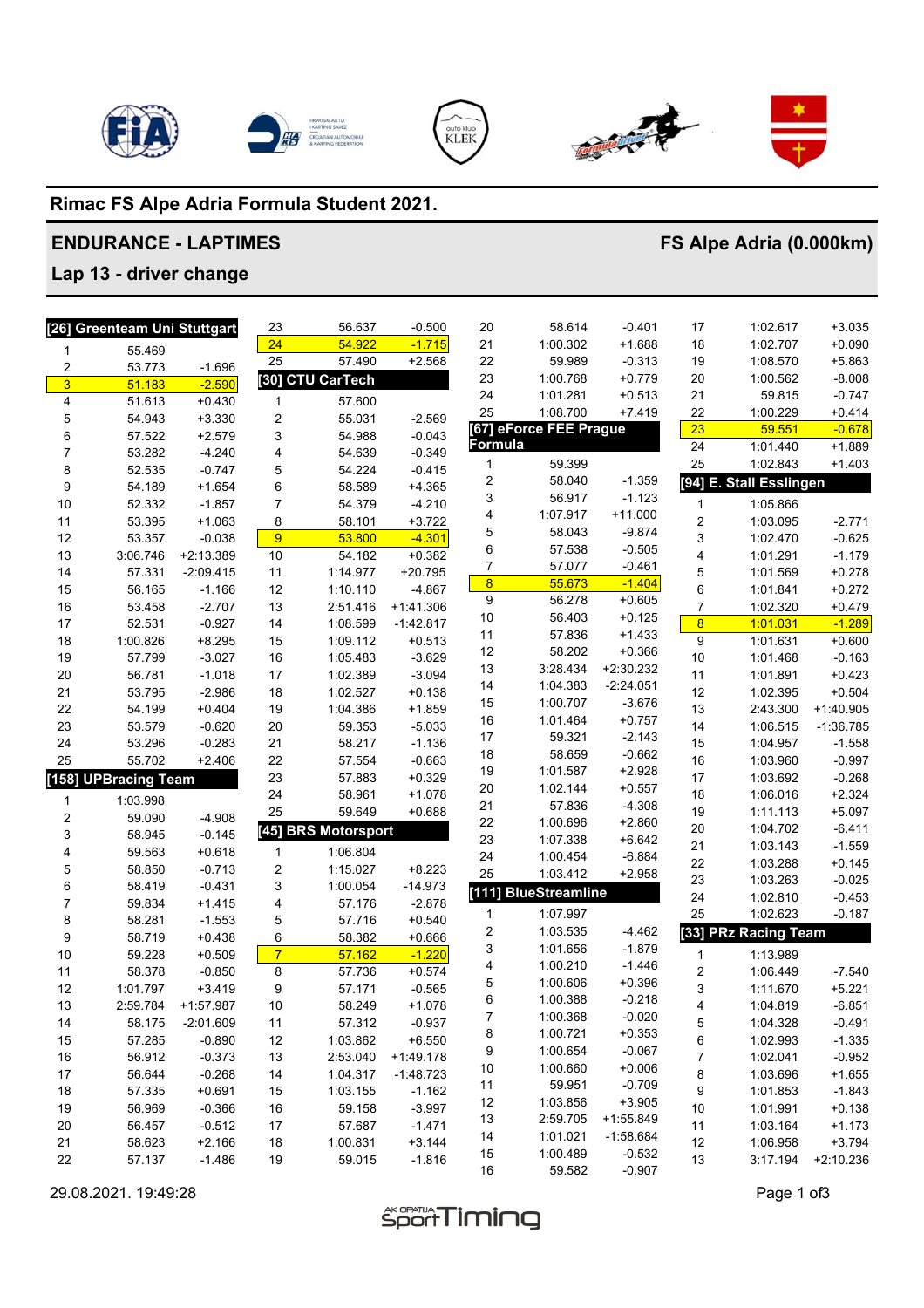







# **Rimac FS Alpe Adria Formula Student 2021.**

## **ENDURANCE - LAPTIMES**

# **FS Alpe Adria (0.000km)**

# **Lap 13 - driver change**

|                         | [26] Greenteam Uni Stuttgart |             | 23             | 56.637              | $-0.500$    | 20                      | 58.614                 | $-0.401$    | 17                      | 1:02.617                | $+3.035$    |
|-------------------------|------------------------------|-------------|----------------|---------------------|-------------|-------------------------|------------------------|-------------|-------------------------|-------------------------|-------------|
| 1                       | 55.469                       |             | 24             | 54.922              | $-1.715$    | 21                      | 1:00.302               | $+1.688$    | 18                      | 1:02.707                | $+0.090$    |
| $\overline{\mathbf{c}}$ | 53.773                       | $-1.696$    | 25             | 57.490              | $+2.568$    | 22                      | 59.989                 | $-0.313$    | 19                      | 1:08.570                | $+5.863$    |
| $\overline{3}$          | 51.183                       | $-2.590$    |                | [30] CTU CarTech    |             | 23                      | 1:00.768               | $+0.779$    | 20                      | 1:00.562                | $-8.008$    |
| 4                       | 51.613                       | $+0.430$    | 1              | 57.600              |             | 24                      | 1:01.281               | $+0.513$    | 21                      | 59.815                  | $-0.747$    |
| 5                       | 54.943                       | $+3.330$    | 2              | 55.031              | $-2.569$    | 25                      | 1:08.700               | $+7.419$    | 22                      | 1:00.229                | $+0.414$    |
| 6                       | 57.522                       | $+2.579$    | 3              | 54.988              | $-0.043$    |                         | [67] eForce FEE Prague |             | 23                      | 59.551                  | $-0.678$    |
| 7                       | 53.282                       | $-4.240$    | 4              | 54.639              | $-0.349$    | <b>Formula</b>          |                        |             | 24                      | 1:01.440                | $+1.889$    |
| 8                       | 52.535                       | $-0.747$    | 5              | 54.224              | $-0.415$    | 1                       | 59.399                 |             | 25                      | 1:02.843                | $+1.403$    |
| 9                       | 54.189                       | $+1.654$    | 6              | 58.589              | $+4.365$    | 2                       | 58.040                 | $-1.359$    |                         | [94] E. Stall Esslingen |             |
| 10                      | 52.332                       | $-1.857$    | $\overline{7}$ | 54.379              | $-4.210$    | 3                       | 56.917                 | $-1.123$    | 1                       | 1:05.866                |             |
| 11                      | 53.395                       | $+1.063$    | 8              | 58.101              | $+3.722$    | 4                       | 1:07.917               | $+11.000$   | $\overline{c}$          | 1:03.095                | $-2.771$    |
| 12                      | 53.357                       | $-0.038$    | 9              | 53.800              | $-4.301$    | 5                       | 58.043                 | $-9.874$    | 3                       | 1:02.470                | $-0.625$    |
| 13                      | 3:06.746                     | +2:13.389   | 10             | 54.182              | $+0.382$    | 6                       | 57.538                 | $-0.505$    | 4                       | 1:01.291                | $-1.179$    |
| 14                      | 57.331                       | $-2:09.415$ | 11             | 1:14.977            | $+20.795$   | $\boldsymbol{7}$        | 57.077                 | $-0.461$    | 5                       | 1:01.569                | $+0.278$    |
| 15                      | 56.165                       | $-1.166$    | 12             | 1:10.110            | $-4.867$    | $\overline{\mathbf{8}}$ | 55.673                 | $-1.404$    | 6                       | 1:01.841                | $+0.272$    |
| 16                      | 53.458                       | $-2.707$    | 13             | 2:51.416            | $+1:41.306$ | $\boldsymbol{9}$        | 56.278                 | $+0.605$    | $\overline{7}$          | 1:02.320                | $+0.479$    |
| 17                      | 52.531                       | $-0.927$    | 14             | 1:08.599            | $-1:42.817$ | 10                      | 56.403                 | $+0.125$    | $\overline{\mathbf{8}}$ | 1:01.031                | $-1.289$    |
| 18                      | 1:00.826                     | $+8.295$    | 15             | 1:09.112            | $+0.513$    | 11                      | 57.836                 | $+1.433$    | 9                       | 1:01.631                | $+0.600$    |
| 19                      | 57.799                       | $-3.027$    | 16             | 1:05.483            | $-3.629$    | 12                      | 58.202                 | $+0.366$    | 10                      | 1:01.468                | $-0.163$    |
| 20                      | 56.781                       | $-1.018$    | 17             | 1:02.389            | $-3.094$    | 13                      | 3:28.434               | $+2:30.232$ | 11                      | 1:01.891                | $+0.423$    |
| 21                      | 53.795                       | $-2.986$    | 18             | 1:02.527            | $+0.138$    | 14                      | 1:04.383               | $-2:24.051$ | 12                      | 1:02.395                | $+0.504$    |
| 22                      | 54.199                       | $+0.404$    | 19             | 1:04.386            | $+1.859$    | 15                      | 1:00.707               | $-3.676$    | 13                      | 2:43.300                | $+1:40.905$ |
| 23                      | 53.579                       | $-0.620$    | 20             | 59.353              | $-5.033$    | 16                      | 1:01.464               | $+0.757$    | 14                      | 1:06.515                | $-1:36.785$ |
| 24                      | 53.296                       | $-0.283$    | 21             | 58.217              | $-1.136$    | $17$                    | 59.321                 | $-2.143$    | 15                      | 1:04.957                | $-1.558$    |
| 25                      | 55.702                       | $+2.406$    | 22             | 57.554              | $-0.663$    | 18                      | 58.659                 | $-0.662$    | 16                      | 1:03.960                | $-0.997$    |
| [158]                   | <b>UPBracing Team</b>        |             | 23             | 57.883              | $+0.329$    | 19                      | 1:01.587               | $+2.928$    | 17                      | 1:03.692                | $-0.268$    |
| 1                       | 1:03.998                     |             | 24             | 58.961              | $+1.078$    | 20                      | 1:02.144               | $+0.557$    | 18                      | 1:06.016                | $+2.324$    |
| $\overline{\mathbf{c}}$ | 59.090                       | $-4.908$    | 25             | 59.649              | $+0.688$    | 21                      | 57.836                 | $-4.308$    | 19                      | 1:11.113                | $+5.097$    |
| 3                       | 58.945                       | $-0.145$    |                | [45] BRS Motorsport |             | 22                      | 1:00.696               | $+2.860$    | 20                      | 1:04.702                | $-6.411$    |
| 4                       | 59.563                       | $+0.618$    | 1              | 1:06.804            |             | 23                      | 1:07.338               | $+6.642$    | 21                      | 1:03.143                | $-1.559$    |
| 5                       | 58.850                       | $-0.713$    | $\overline{c}$ | 1:15.027            | $+8.223$    | 24                      | 1:00.454               | $-6.884$    | 22                      | 1:03.288                | $+0.145$    |
| 6                       | 58.419                       | $-0.431$    | 3              | 1:00.054            | $-14.973$   | 25                      | 1:03.412               | $+2.958$    | 23                      | 1:03.263                | $-0.025$    |
| 7                       | 59.834                       | $+1.415$    | 4              | 57.176              | $-2.878$    | [111]                   | <b>BlueStreamline</b>  |             | 24                      | 1:02.810                | $-0.453$    |
| 8                       | 58.281                       | $-1.553$    | 5              | 57.716              | $+0.540$    | 1                       | 1:07.997               |             | 25                      | 1:02.623                | $-0.187$    |
| $\boldsymbol{9}$        | 58.719                       | $+0.438$    | 6              | 58.382              | $+0.666$    | 2                       | 1:03.535               | $-4.462$    |                         | [33] PRz Racing Team    |             |
| $10$                    | 59.228                       | $+0.509$    | $\overline{7}$ | 57.162              | $-1.220$    | 3                       | 1:01.656               | $-1.879$    | 1                       | 1:13.989                |             |
| 11                      | 58.378                       | $-0.850$    | 8              | 57.736              | $+0.574$    | 4                       | 1:00.210               | $-1.446$    | $\overline{\mathbf{c}}$ | 1:06.449                | $-7.540$    |
| 12                      | 1:01.797                     | $+3.419$    | 9              | 57.171              | $-0.565$    | 5                       | 1:00.606               | $+0.396$    | 3                       | 1:11.670                | $+5.221$    |
| 13                      | 2:59.784                     | $+1:57.987$ | 10             | 58.249              | $+1.078$    | 6                       | 1:00.388               | $-0.218$    | 4                       | 1:04.819                | $-6.851$    |
| 14                      | 58.175                       | $-2:01.609$ | 11             | 57.312              | $-0.937$    | 7                       | 1:00.368               | $-0.020$    | 5                       | 1:04.328                | $-0.491$    |
| 15                      | 57.285                       | $-0.890$    | 12             | 1:03.862            | $+6.550$    | 8                       | 1:00.721               | $+0.353$    | 6                       | 1:02.993                | $-1.335$    |
| $16$                    | 56.912                       | $-0.373$    | 13             | 2:53.040            | $+1:49.178$ | 9                       | 1:00.654               | $-0.067$    | $\overline{7}$          | 1:02.041                | $-0.952$    |
| $17\,$                  | 56.644                       | $-0.268$    | 14             | 1:04.317            | $-1:48.723$ | 10                      | 1:00.660               | $+0.006$    | 8                       | 1:03.696                | $+1.655$    |
| 18                      | 57.335                       | $+0.691$    | 15             | 1:03.155            | $-1.162$    | 11                      | 59.951                 | $-0.709$    | 9                       | 1:01.853                | $-1.843$    |
| 19                      | 56.969                       | $-0.366$    | 16             | 59.158              | $-3.997$    | 12                      | 1:03.856               | $+3.905$    | 10                      | 1:01.991                | $+0.138$    |
| 20                      | 56.457                       | $-0.512$    | 17             | 57.687              | $-1.471$    | 13                      | 2:59.705               | $+1:55.849$ | 11                      | 1:03.164                | $+1.173$    |
| 21                      | 58.623                       | $+2.166$    | 18             | 1:00.831            | $+3.144$    | 14                      | 1:01.021               | $-1:58.684$ | 12                      | 1:06.958                | $+3.794$    |
| 22                      | 57.137                       | $-1.486$    | 19             | 59.015              | $-1.816$    | 15                      | 1:00.489               | $-0.532$    | 13                      | 3:17.194                | +2:10.236   |
|                         |                              |             |                |                     |             | $16\,$                  | 59.582                 | $-0.907$    |                         |                         |             |

29.08.2021. 19:49:28<br>  $\overbrace{ }$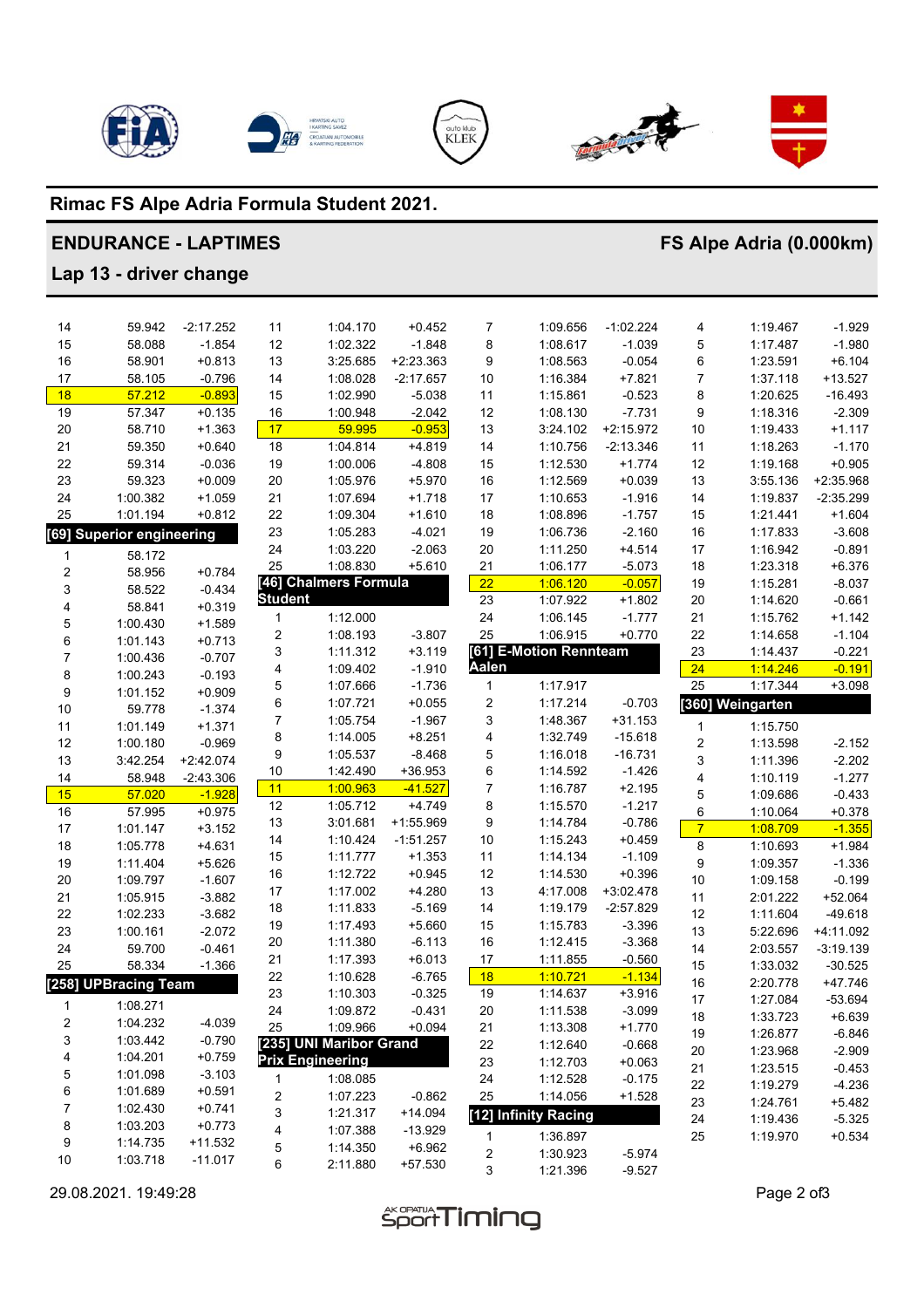







# Rimac FS Alpe Adria Formula Student 2021.

### **ENDURANCE - LAPTIMES**

# FS Alpe Adria (0.000km)

Lap 13 - driver change

| 14                      | 59.942                      | $-2:17.252$            | 11             | 1:04.170                | $+0.452$    | 7                       | 1:09.656               | $-1:02.224$ | 4                       | 1:19.467         | $-1.929$    |
|-------------------------|-----------------------------|------------------------|----------------|-------------------------|-------------|-------------------------|------------------------|-------------|-------------------------|------------------|-------------|
| 15                      | 58.088                      | $-1.854$               | 12             | 1:02.322                | $-1.848$    | 8                       | 1:08.617               | $-1.039$    | 5                       | 1:17.487         | $-1.980$    |
| 16                      | 58.901                      | $+0.813$               | 13             | 3:25.685                | $+2:23.363$ | 9                       | 1:08.563               | $-0.054$    | 6                       | 1:23.591         | $+6.104$    |
| 17                      | 58.105                      | $-0.796$               | 14             | 1:08.028                | $-2:17.657$ | 10                      | 1:16.384               | $+7.821$    | 7                       | 1:37.118         | $+13.527$   |
| 18                      | 57.212                      | $-0.893$               | 15             | 1:02.990                | $-5.038$    | 11                      | 1:15.861               | $-0.523$    | 8                       | 1:20.625         | $-16.493$   |
| 19                      | 57.347                      | $+0.135$               | 16             | 1:00.948                | $-2.042$    | 12                      | 1:08.130               | $-7.731$    | 9                       | 1:18.316         | $-2.309$    |
| 20                      | 58.710                      | $+1.363$               | 17             | 59.995                  | $-0.953$    | 13                      | 3:24.102               | $+2:15.972$ | 10                      | 1:19.433         | $+1.117$    |
| 21                      | 59.350                      | $+0.640$               | 18             | 1:04.814                | $+4.819$    | 14                      | 1:10.756               | $-2:13.346$ | 11                      | 1:18.263         | $-1.170$    |
| 22                      | 59.314                      | $-0.036$               | 19             | 1:00.006                | $-4.808$    | 15                      | 1:12.530               | $+1.774$    | 12                      | 1:19.168         | $+0.905$    |
| 23                      | 59.323                      | $+0.009$               | 20             | 1:05.976                | $+5.970$    | 16                      | 1:12.569               | $+0.039$    | 13                      | 3:55.136         | +2:35.968   |
| 24                      | 1:00.382                    | $+1.059$               | 21             | 1:07.694                | $+1.718$    | 17                      | 1:10.653               | $-1.916$    | 14                      | 1:19.837         | $-2:35.299$ |
| 25                      | 1:01.194                    | $+0.812$               | 22             | 1:09.304                | $+1.610$    | 18                      | 1:08.896               | $-1.757$    | 15                      | 1:21.441         | $+1.604$    |
| [69]                    | <b>Superior engineering</b> |                        | 23             | 1:05.283                | $-4.021$    | 19                      | 1:06.736               | $-2.160$    | 16                      | 1:17.833         | $-3.608$    |
| 1                       | 58.172                      |                        | 24             | 1:03.220                | $-2.063$    | 20                      | 1:11.250               | $+4.514$    | 17                      | 1:16.942         | $-0.891$    |
| $\boldsymbol{2}$        | 58.956                      | $+0.784$               | 25             | 1:08.830                | $+5.610$    | 21                      | 1:06.177               | $-5.073$    | 18                      | 1:23.318         | $+6.376$    |
| 3                       | 58.522                      | $-0.434$               |                | [46] Chalmers Formula   |             | 22                      | 1:06.120               | $-0.057$    | 19                      | 1:15.281         | $-8.037$    |
| 4                       | 58.841                      | $+0.319$               | <b>Student</b> |                         |             | 23                      | 1:07.922               | $+1.802$    | 20                      | 1:14.620         | $-0.661$    |
| $\mathbf 5$             | 1:00.430                    | $+1.589$               | 1              | 1:12.000                |             | 24                      | 1:06.145               | $-1.777$    | 21                      | 1:15.762         | $+1.142$    |
| 6                       | 1:01.143                    | $+0.713$               | 2              | 1:08.193                | $-3.807$    | 25                      | 1:06.915               | $+0.770$    | 22                      | 1:14.658         | $-1.104$    |
| $\overline{7}$          | 1:00.436                    | $-0.707$               | 3              | 1:11.312                | $+3.119$    |                         | [61] E-Motion Rennteam |             | 23                      | 1:14.437         | $-0.221$    |
| 8                       | 1:00.243                    | $-0.193$               | 4              | 1:09.402                | $-1.910$    | Aalen                   |                        |             | 24                      | 1:14.246         | $-0.191$    |
| 9                       | 1:01.152                    | $+0.909$               | 5              | 1:07.666                | $-1.736$    | $\mathbf{1}$            | 1:17.917               |             | 25                      | 1:17.344         | $+3.098$    |
| 10                      | 59.778                      | $-1.374$               | 6              | 1:07.721                | $+0.055$    | $\overline{c}$          | 1:17.214               | $-0.703$    |                         | [360] Weingarten |             |
| 11                      | 1:01.149                    | $+1.371$               | 7              | 1:05.754                | $-1.967$    | 3                       | 1:48.367               | $+31.153$   | 1                       | 1:15.750         |             |
| 12                      | 1:00.180                    | $-0.969$               | 8              | 1:14.005                | $+8.251$    | 4                       | 1:32.749               | $-15.618$   | $\overline{\mathbf{c}}$ | 1:13.598         | $-2.152$    |
| 13                      | 3:42.254                    | $+2:42.074$            | 9              | 1:05.537                | $-8.468$    | 5                       | 1:16.018               | $-16.731$   | 3                       | 1:11.396         | $-2.202$    |
| 14                      | 58.948                      | $-2:43.306$            | 10             | 1:42.490                | +36.953     | 6                       | 1:14.592               | $-1.426$    | 4                       | 1:10.119         | $-1.277$    |
| 15                      | 57.020                      | $-1.928$               | 11             | 1:00.963                | $-41.527$   | 7                       | 1:16.787               | $+2.195$    | 5                       | 1:09.686         | $-0.433$    |
| 16                      | 57.995                      | $+0.975$               | 12             | 1:05.712                | +4.749      | 8                       | 1:15.570               | $-1.217$    | 6                       | 1:10.064         | $+0.378$    |
| 17                      | 1:01.147                    | $+3.152$               | 13             | 3:01.681                | +1:55.969   | 9                       | 1:14.784               | $-0.786$    | $\overline{7}$          | 1:08.709         | $-1.355$    |
| 18                      | 1:05.778                    | $+4.631$               | 14             | 1:10.424                | $-1:51.257$ | $10$                    | 1:15.243               | $+0.459$    | 8                       | 1:10.693         | $+1.984$    |
| 19                      | 1:11.404                    | $+5.626$               | 15             | 1:11.777                | $+1.353$    | 11                      | 1:14.134               | $-1.109$    | 9                       | 1:09.357         | $-1.336$    |
| 20                      | 1:09.797                    | $-1.607$               | 16             | 1:12.722                | $+0.945$    | 12                      | 1:14.530               | $+0.396$    | 10                      | 1:09.158         | $-0.199$    |
| 21                      | 1:05.915                    | $-3.882$               | 17             | 1:17.002                | $+4.280$    | 13                      | 4:17.008               | $+3:02.478$ | 11                      | 2:01.222         | $+52.064$   |
| 22                      | 1:02.233                    | $-3.682$               | 18             | 1:11.833                | $-5.169$    | 14                      | 1:19.179               | $-2:57.829$ | 12                      | 1:11.604         | $-49.618$   |
| 23                      | 1:00.161                    | $-2.072$               | 19             | 1:17.493                | $+5.660$    | 15                      | 1:15.783               | $-3.396$    | 13                      | 5:22.696         | +4:11.092   |
| 24                      | 59.700                      | $-0.461$               | 20             | 1:11.380                | $-6.113$    | 16                      | 1:12.415               | $-3.368$    | 14                      | 2:03.557         | $-3:19.139$ |
| 25                      | 58.334                      | $-1.366$               | 21             | 1:17.393                | $+6.013$    | 17                      | 1:11.855               | $-0.560$    | 15                      | 1:33.032         | $-30.525$   |
|                         | [258] UPBracing Team        |                        | 22             | 1:10.628                | $-6.765$    | 18                      | 1:10.721               | $-1.134$    | 16                      | 2:20.778         | +47.746     |
|                         |                             |                        | 23             | 1:10.303                | $-0.325$    | 19                      | 1:14.637               | $+3.916$    | $17\,$                  | 1:27.084         | $-53.694$   |
| 1                       | 1:08.271                    |                        | 24             | 1:09.872                | $-0.431$    | 20                      | 1:11.538               | $-3.099$    | 18                      | 1:33.723         | $+6.639$    |
| $\overline{\mathbf{c}}$ | 1:04.232                    | $-4.039$               | 25             | 1:09.966                | $+0.094$    | 21                      | 1:13.308               | $+1.770$    | 19                      | 1:26.877         | $-6.846$    |
| 3                       | 1:03.442                    | $-0.790$               |                | [235] UNI Maribor Grand |             | 22                      | 1:12.640               | $-0.668$    | 20                      | 1:23.968         | $-2.909$    |
| 4                       | 1:04.201                    | $+0.759$               |                | <b>Prix Engineering</b> |             | 23                      | 1:12.703               | $+0.063$    | 21                      | 1:23.515         | $-0.453$    |
| 5                       | 1:01.098                    | $-3.103$               | 1              | 1:08.085                |             | 24                      | 1:12.528               | $-0.175$    | 22                      | 1:19.279         | $-4.236$    |
| 6                       | 1:01.689                    | $+0.591$               | 2              | 1:07.223                | $-0.862$    | 25                      | 1:14.056               | $+1.528$    | 23                      | 1:24.761         | $+5.482$    |
| 7                       | 1:02.430                    | $+0.741$               | 3              | 1:21.317                | $+14.094$   |                         | [12] Infinity Racing   |             | 24                      | 1:19.436         | $-5.325$    |
| 8                       | 1:03.203                    | $+0.773$               | 4              | 1:07.388                | $-13.929$   | 1                       | 1:36.897               |             | 25                      | 1:19.970         | $+0.534$    |
| 9<br>10                 | 1:14.735                    | $+11.532$<br>$-11.017$ | 5              | 1:14.350                | $+6.962$    | $\overline{\mathbf{c}}$ | 1:30.923               | $-5.974$    |                         |                  |             |
|                         | 1:03.718                    |                        | 6              | 2:11.880                | +57.530     | 3                       | 1:21.396               | $-9.527$    |                         |                  |             |

29.08.2021. 19:49:28

*<u>SportTiming</u>* 

Page 2 of3